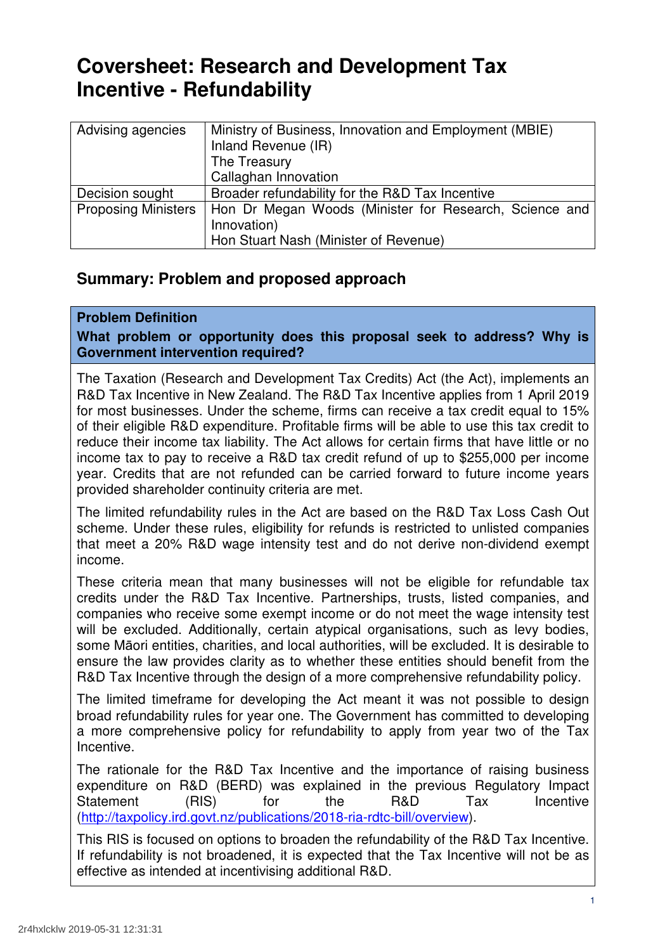# **Coversheet: Research and Development Tax Incentive - Refundability**

| Ministry of Business, Innovation and Employment (MBIE) |  |  |
|--------------------------------------------------------|--|--|
|                                                        |  |  |
| Inland Revenue (IR)                                    |  |  |
| The Treasury                                           |  |  |
|                                                        |  |  |
| Callaghan Innovation                                   |  |  |
| Broader refundability for the R&D Tax Incentive        |  |  |
|                                                        |  |  |
| Hon Dr Megan Woods (Minister for Research, Science and |  |  |
| Innovation)                                            |  |  |
|                                                        |  |  |
| Hon Stuart Nash (Minister of Revenue)                  |  |  |
|                                                        |  |  |

# **Summary: Problem and proposed approach**

# **Problem Definition**

 **What problem or opportunity does this proposal seek to address? Why is Government intervention required?** 

 The Taxation (Research and Development Tax Credits) Act (the Act), implements an R&D Tax Incentive in New Zealand. The R&D Tax Incentive applies from 1 April 2019 for most businesses. Under the scheme, firms can receive a tax credit equal to 15% of their eligible R&D expenditure. Profitable firms will be able to use this tax credit to reduce their income tax liability. The Act allows for certain firms that have little or no income tax to pay to receive a R&D tax credit refund of up to \$255,000 per income year. Credits that are not refunded can be carried forward to future income years provided shareholder continuity criteria are met.

 The limited refundability rules in the Act are based on the R&D Tax Loss Cash Out scheme. Under these rules, eligibility for refunds is restricted to unlisted companies that meet a 20% R&D wage intensity test and do not derive non-dividend exempt income.

 These criteria mean that many businesses will not be eligible for refundable tax credits under the R&D Tax Incentive. Partnerships, trusts, listed companies, and companies who receive some exempt income or do not meet the wage intensity test will be excluded. Additionally, certain atypical organisations, such as levy bodies, some Māori entities, charities, and local authorities, will be excluded. It is desirable to ensure the law provides clarity as to whether these entities should benefit from the R&D Tax Incentive through the design of a more comprehensive refundability policy.

 The limited timeframe for developing the Act meant it was not possible to design broad refundability rules for year one. The Government has committed to developing a more comprehensive policy for refundability to apply from year two of the Tax Incentive.

 The rationale for the R&D Tax Incentive and the importance of raising business expenditure on R&D (BERD) was explained in the previous Regulatory Impact  $(RIS)$ Statement (RIS) for the R&D Tax Incentive (http://taxpolicy.ird.govt.nz/publications/2018-ria-rdtc-bill/overview).

 This RIS is focused on options to broaden the refundability of the R&D Tax Incentive. If refundability is not broadened, it is expected that the Tax Incentive will not be as effective as intended at incentivising additional R&D.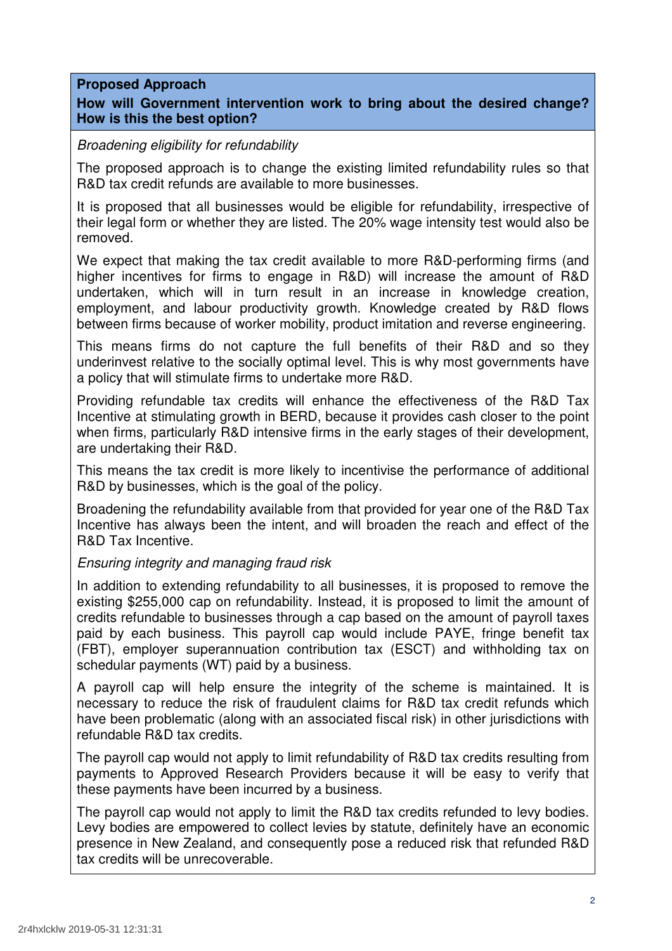# **Proposed Approach**

# **How will Government intervention work to bring about the desired change? How is this the best option?**

# Broadening eligibility for refundability

 The proposed approach is to change the existing limited refundability rules so that R&D tax credit refunds are available to more businesses.

 It is proposed that all businesses would be eligible for refundability, irrespective of their legal form or whether they are listed. The 20% wage intensity test would also be removed.

 We expect that making the tax credit available to more R&D-performing firms (and higher incentives for firms to engage in R&D) will increase the amount of R&D undertaken, which will in turn result in an increase in knowledge creation, employment, and labour productivity growth. Knowledge created by R&D flows between firms because of worker mobility, product imitation and reverse engineering.

 This means firms do not capture the full benefits of their R&D and so they underinvest relative to the socially optimal level. This is why most governments have a policy that will stimulate firms to undertake more R&D.

 Providing refundable tax credits will enhance the effectiveness of the R&D Tax Incentive at stimulating growth in BERD, because it provides cash closer to the point when firms, particularly R&D intensive firms in the early stages of their development, are undertaking their R&D.

 This means the tax credit is more likely to incentivise the performance of additional R&D by businesses, which is the goal of the policy.

 Broadening the refundability available from that provided for year one of the R&D Tax Incentive has always been the intent, and will broaden the reach and effect of the R&D Tax Incentive.

# Ensuring integrity and managing fraud risk

 In addition to extending refundability to all businesses, it is proposed to remove the existing \$255,000 cap on refundability. Instead, it is proposed to limit the amount of credits refundable to businesses through a cap based on the amount of payroll taxes paid by each business. This payroll cap would include PAYE, fringe benefit tax (FBT), employer superannuation contribution tax (ESCT) and withholding tax on schedular payments (WT) paid by a business.

 A payroll cap will help ensure the integrity of the scheme is maintained. It is necessary to reduce the risk of fraudulent claims for R&D tax credit refunds which have been problematic (along with an associated fiscal risk) in other jurisdictions with refundable R&D tax credits.

 The payroll cap would not apply to limit refundability of R&D tax credits resulting from payments to Approved Research Providers because it will be easy to verify that these payments have been incurred by a business.

 The payroll cap would not apply to limit the R&D tax credits refunded to levy bodies. Levy bodies are empowered to collect levies by statute, definitely have an economic presence in New Zealand, and consequently pose a reduced risk that refunded R&D tax credits will be unrecoverable.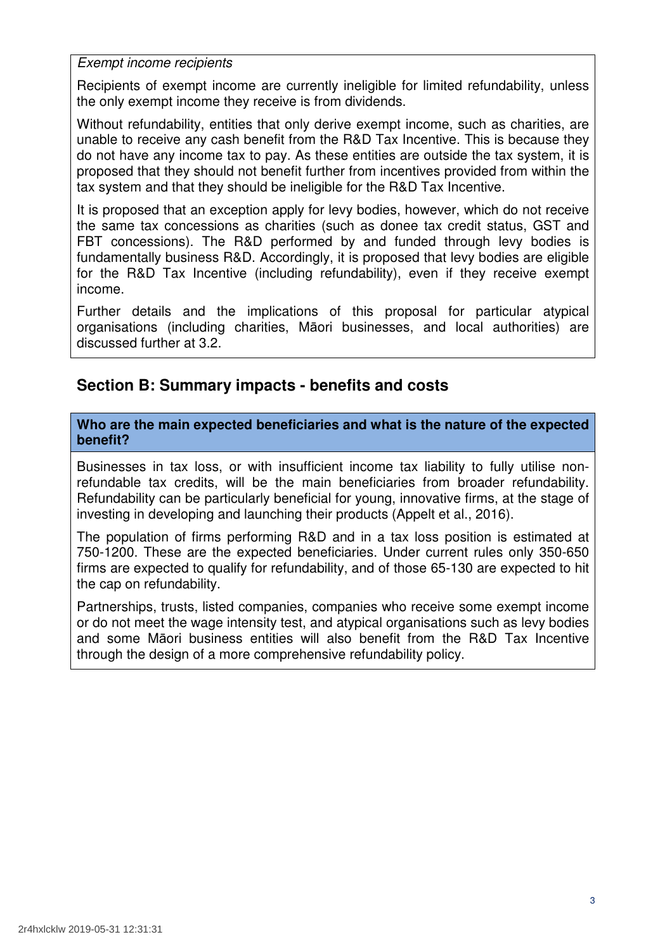Exempt income recipients

 Recipients of exempt income are currently ineligible for limited refundability, unless the only exempt income they receive is from dividends.

 Without refundability, entities that only derive exempt income, such as charities, are unable to receive any cash benefit from the R&D Tax Incentive. This is because they do not have any income tax to pay. As these entities are outside the tax system, it is proposed that they should not benefit further from incentives provided from within the tax system and that they should be ineligible for the R&D Tax Incentive.

 It is proposed that an exception apply for levy bodies, however, which do not receive the same tax concessions as charities (such as donee tax credit status, GST and FBT concessions). The R&D performed by and funded through levy bodies is fundamentally business R&D. Accordingly, it is proposed that levy bodies are eligible for the R&D Tax Incentive (including refundability), even if they receive exempt income.

 Further details and the implications of this proposal for particular atypical organisations (including charities, Māori businesses, and local authorities) are discussed further at 3.2.

# **Section B: Summary impacts - benefits and costs**

 **Who are the main expected beneficiaries and what is the nature of the expected benefit?** 

 Businesses in tax loss, or with insufficient income tax liability to fully utilise non- refundable tax credits, will be the main beneficiaries from broader refundability. Refundability can be particularly beneficial for young, innovative firms, at the stage of investing in developing and launching their products (Appelt et al., 2016).

 The population of firms performing R&D and in a tax loss position is estimated at 750-1200. These are the expected beneficiaries. Under current rules only 350-650 firms are expected to qualify for refundability, and of those 65-130 are expected to hit the cap on refundability.

 Partnerships, trusts, listed companies, companies who receive some exempt income or do not meet the wage intensity test, and atypical organisations such as levy bodies and some Māori business entities will also benefit from the R&D Tax Incentive through the design of a more comprehensive refundability policy.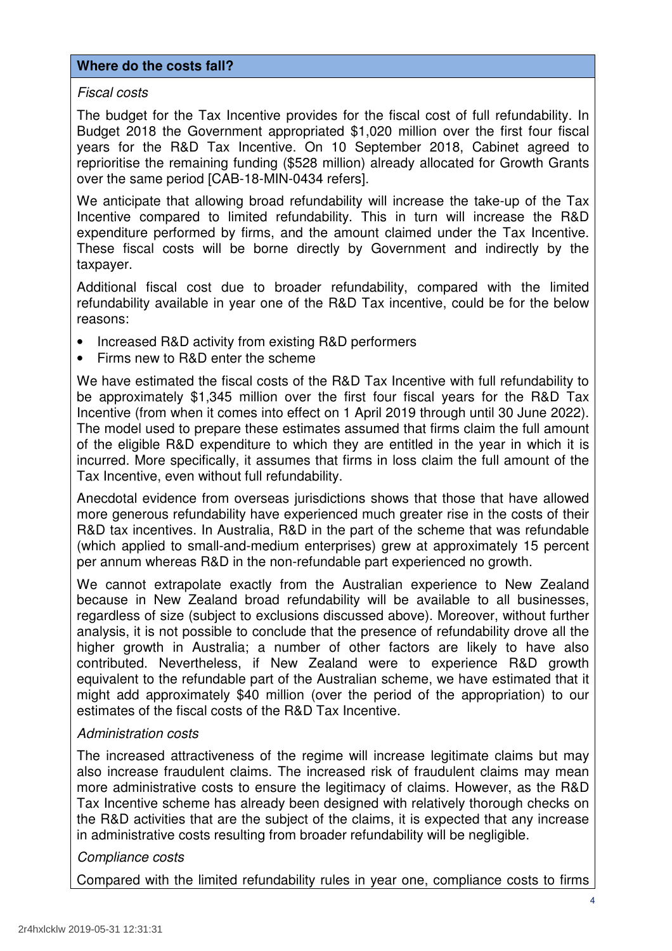### **Where do the costs fall?**

# Fiscal costs

 The budget for the Tax Incentive provides for the fiscal cost of full refundability. In Budget 2018 the Government appropriated \$1,020 million over the first four fiscal years for the R&D Tax Incentive. On 10 September 2018, Cabinet agreed to reprioritise the remaining funding (\$528 million) already allocated for Growth Grants over the same period [CAB-18-MIN-0434 refers].

 We anticipate that allowing broad refundability will increase the take-up of the Tax Incentive compared to limited refundability. This in turn will increase the R&D expenditure performed by firms, and the amount claimed under the Tax Incentive. These fiscal costs will be borne directly by Government and indirectly by the taxpayer.

 Additional fiscal cost due to broader refundability, compared with the limited refundability available in year one of the R&D Tax incentive, could be for the below reasons:

- Increased R&D activity from existing R&D performers
- Firms new to R&D enter the scheme

 We have estimated the fiscal costs of the R&D Tax Incentive with full refundability to be approximately \$1,345 million over the first four fiscal years for the R&D Tax Incentive (from when it comes into effect on 1 April 2019 through until 30 June 2022). The model used to prepare these estimates assumed that firms claim the full amount of the eligible R&D expenditure to which they are entitled in the year in which it is incurred. More specifically, it assumes that firms in loss claim the full amount of the Tax Incentive, even without full refundability.

 Anecdotal evidence from overseas jurisdictions shows that those that have allowed more generous refundability have experienced much greater rise in the costs of their R&D tax incentives. In Australia, R&D in the part of the scheme that was refundable (which applied to small-and-medium enterprises) grew at approximately 15 percent per annum whereas R&D in the non-refundable part experienced no growth.

 We cannot extrapolate exactly from the Australian experience to New Zealand because in New Zealand broad refundability will be available to all businesses, regardless of size (subject to exclusions discussed above). Moreover, without further analysis, it is not possible to conclude that the presence of refundability drove all the higher growth in Australia; a number of other factors are likely to have also contributed. Nevertheless, if New Zealand were to experience R&D growth equivalent to the refundable part of the Australian scheme, we have estimated that it might add approximately \$40 million (over the period of the appropriation) to our estimates of the fiscal costs of the R&D Tax Incentive.

# Administration costs

 The increased attractiveness of the regime will increase legitimate claims but may also increase fraudulent claims. The increased risk of fraudulent claims may mean more administrative costs to ensure the legitimacy of claims. However, as the R&D Tax Incentive scheme has already been designed with relatively thorough checks on the R&D activities that are the subject of the claims, it is expected that any increase in administrative costs resulting from broader refundability will be negligible.

# Compliance costs

Compared with the limited refundability rules in year one, compliance costs to firms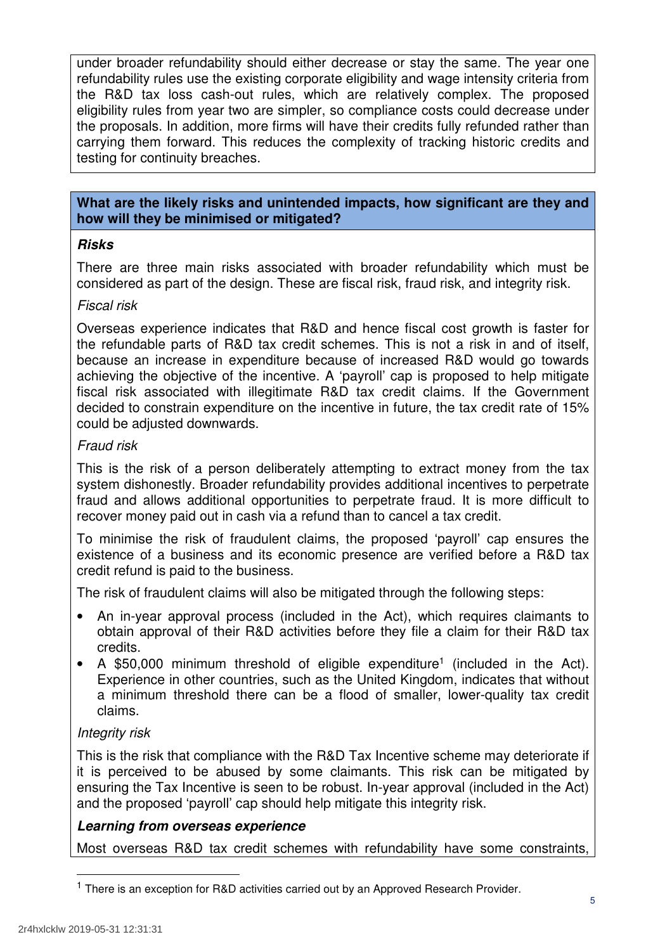under broader refundability should either decrease or stay the same. The year one refundability rules use the existing corporate eligibility and wage intensity criteria from the R&D tax loss cash-out rules, which are relatively complex. The proposed eligibility rules from year two are simpler, so compliance costs could decrease under the proposals. In addition, more firms will have their credits fully refunded rather than carrying them forward. This reduces the complexity of tracking historic credits and testing for continuity breaches.

# **What are the likely risks and unintended impacts, how significant are they and how will they be minimised or mitigated?**

# **Risks**

 There are three main risks associated with broader refundability which must be considered as part of the design. These are fiscal risk, fraud risk, and integrity risk.

# Fiscal risk

 Overseas experience indicates that R&D and hence fiscal cost growth is faster for the refundable parts of R&D tax credit schemes. This is not a risk in and of itself, because an increase in expenditure because of increased R&D would go towards achieving the objective of the incentive. A 'payroll' cap is proposed to help mitigate fiscal risk associated with illegitimate R&D tax credit claims. If the Government decided to constrain expenditure on the incentive in future, the tax credit rate of 15% could be adjusted downwards.

# Fraud risk

 This is the risk of a person deliberately attempting to extract money from the tax system dishonestly. Broader refundability provides additional incentives to perpetrate fraud and allows additional opportunities to perpetrate fraud. It is more difficult to recover money paid out in cash via a refund than to cancel a tax credit.

 To minimise the risk of fraudulent claims, the proposed 'payroll' cap ensures the existence of a business and its economic presence are verified before a R&D tax credit refund is paid to the business.

The risk of fraudulent claims will also be mitigated through the following steps:

- obtain approval of their R&D activities before they file a claim for their R&D tax credits. • An in-year approval process (included in the Act), which requires claimants to
- A \$50,000 minimum threshold of eligible expenditure<sup>1</sup> (included in the Act). Experience in other countries, such as the United Kingdom, indicates that without a minimum threshold there can be a flood of smaller, lower-quality tax credit claims.

# Integrity risk

 This is the risk that compliance with the R&D Tax Incentive scheme may deteriorate if it is perceived to be abused by some claimants. This risk can be mitigated by ensuring the Tax Incentive is seen to be robust. In-year approval (included in the Act) and the proposed 'payroll' cap should help mitigate this integrity risk.

# **Learning from overseas experience**

Most overseas R&D tax credit schemes with refundability have some constraints,

<sup>&</sup>lt;sup>1</sup> There is an exception for R&D activities carried out by an Approved Research Provider.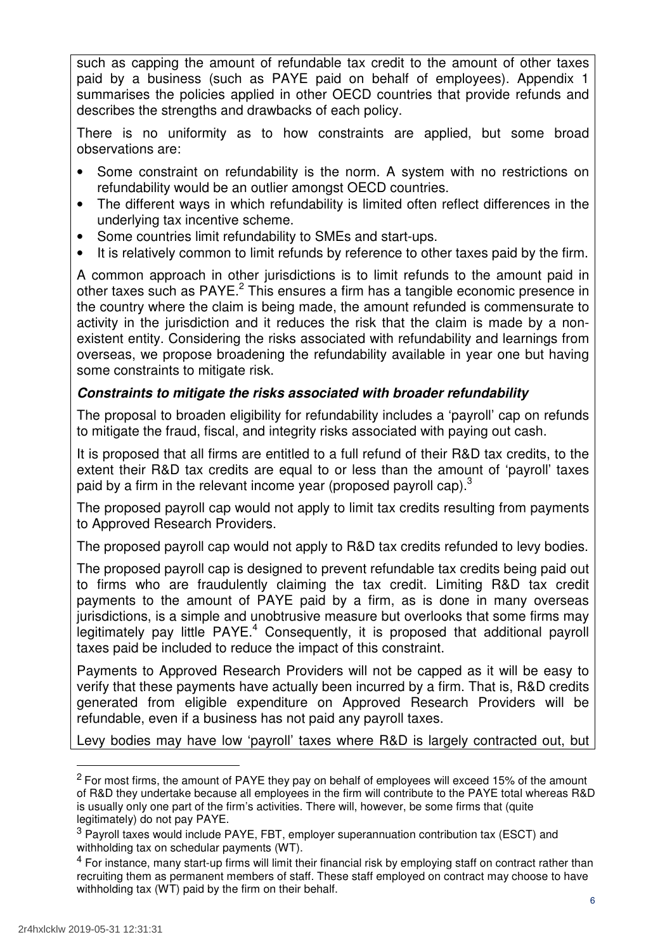such as capping the amount of refundable tax credit to the amount of other taxes paid by a business (such as PAYE paid on behalf of employees). Appendix 1 summarises the policies applied in other OECD countries that provide refunds and describes the strengths and drawbacks of each policy.

 There is no uniformity as to how constraints are applied, but some broad observations are:

- refundability would be an outlier amongst OECD countries. • Some constraint on refundability is the norm. A system with no restrictions on
- underlying tax incentive scheme. The different ways in which refundability is limited often reflect differences in the
- Some countries limit refundability to SMEs and start-ups.
- It is relatively common to limit refunds by reference to other taxes paid by the firm.

 A common approach in other jurisdictions is to limit refunds to the amount paid in other taxes such as PAYE. $^2$  This ensures a firm has a tangible economic presence in the country where the claim is being made, the amount refunded is commensurate to activity in the jurisdiction and it reduces the risk that the claim is made by a non- existent entity. Considering the risks associated with refundability and learnings from overseas, we propose broadening the refundability available in year one but having some constraints to mitigate risk.

# **Constraints to mitigate the risks associated with broader refundability**

 The proposal to broaden eligibility for refundability includes a 'payroll' cap on refunds to mitigate the fraud, fiscal, and integrity risks associated with paying out cash.

 It is proposed that all firms are entitled to a full refund of their R&D tax credits, to the extent their R&D tax credits are equal to or less than the amount of 'payroll' taxes paid by a firm in the relevant income year (proposed payroll cap).<sup>3</sup>

 The proposed payroll cap would not apply to limit tax credits resulting from payments to Approved Research Providers.

The proposed payroll cap would not apply to R&D tax credits refunded to levy bodies.

 The proposed payroll cap is designed to prevent refundable tax credits being paid out to firms who are fraudulently claiming the tax credit. Limiting R&D tax credit payments to the amount of PAYE paid by a firm, as is done in many overseas jurisdictions, is a simple and unobtrusive measure but overlooks that some firms may legitimately pay little  $PAYE.^4$  Consequently, it is proposed that additional payroll taxes paid be included to reduce the impact of this constraint.

 Payments to Approved Research Providers will not be capped as it will be easy to verify that these payments have actually been incurred by a firm. That is, R&D credits generated from eligible expenditure on Approved Research Providers will be refundable, even if a business has not paid any payroll taxes.

Levy bodies may have low 'payroll' taxes where R&D is largely contracted out, but

 $2$  For most firms, the amount of PAYE they pay on behalf of employees will exceed 15% of the amount of R&D they undertake because all employees in the firm will contribute to the PAYE total whereas R&D is usually only one part of the firm's activities. There will, however, be some firms that (quite legitimately) do not pay PAYE.

 $3$  Payroll taxes would include PAYE, FBT, employer superannuation contribution tax (ESCT) and withholding tax on schedular payments (WT).

 $<sup>4</sup>$  For instance, many start-up firms will limit their financial risk by employing staff on contract rather than</sup> recruiting them as permanent members of staff. These staff employed on contract may choose to have withholding tax (WT) paid by the firm on their behalf.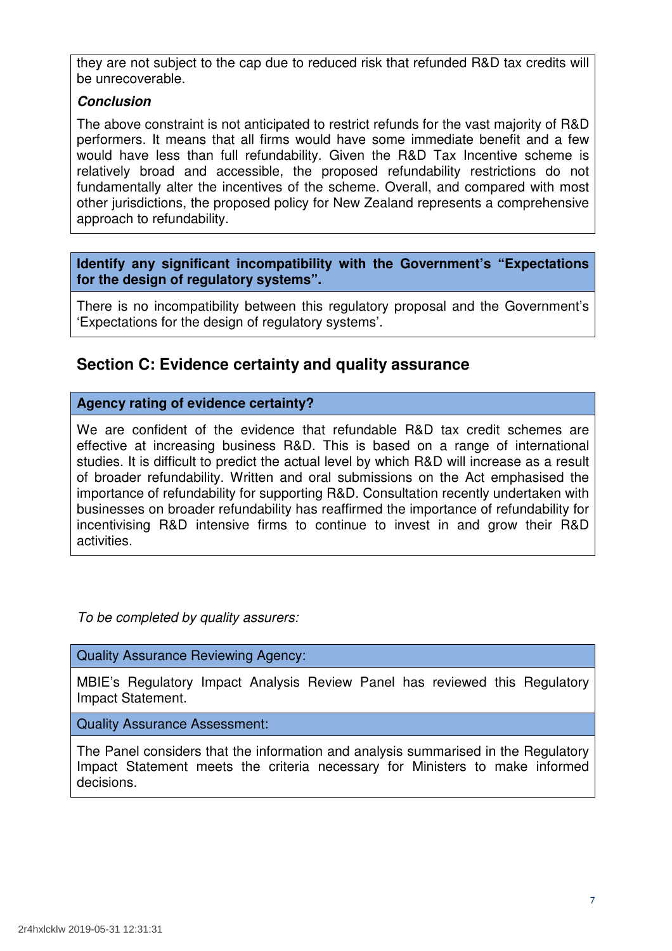they are not subject to the cap due to reduced risk that refunded R&D tax credits will be unrecoverable.

# **Conclusion**

 The above constraint is not anticipated to restrict refunds for the vast majority of R&D performers. It means that all firms would have some immediate benefit and a few would have less than full refundability. Given the R&D Tax Incentive scheme is relatively broad and accessible, the proposed refundability restrictions do not fundamentally alter the incentives of the scheme. Overall, and compared with most other jurisdictions, the proposed policy for New Zealand represents a comprehensive approach to refundability.

 **Identify any significant incompatibility with the Government's "Expectations for the design of regulatory systems".** 

 There is no incompatibility between this regulatory proposal and the Government's 'Expectations for the design of regulatory systems'.

# **Section C: Evidence certainty and quality assurance**

# **Agency rating of evidence certainty?**

 We are confident of the evidence that refundable R&D tax credit schemes are effective at increasing business R&D. This is based on a range of international studies. It is difficult to predict the actual level by which R&D will increase as a result of broader refundability. Written and oral submissions on the Act emphasised the importance of refundability for supporting R&D. Consultation recently undertaken with businesses on broader refundability has reaffirmed the importance of refundability for incentivising R&D intensive firms to continue to invest in and grow their R&D activities.

To be completed by quality assurers:

Quality Assurance Reviewing Agency:

 MBIE's Regulatory Impact Analysis Review Panel has reviewed this Regulatory Impact Statement.

Quality Assurance Assessment:

 The Panel considers that the information and analysis summarised in the Regulatory Impact Statement meets the criteria necessary for Ministers to make informed decisions.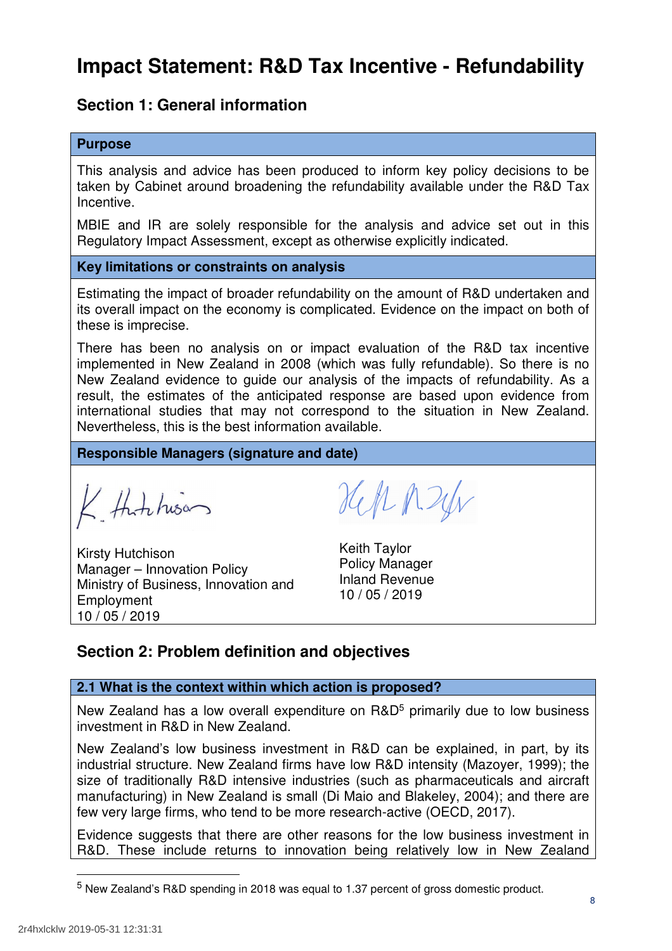# **Impact Statement: R&D Tax Incentive - Refundability**

# **Section 1: General information**

### **Purpose**

 This analysis and advice has been produced to inform key policy decisions to be taken by Cabinet around broadening the refundability available under the R&D Tax Incentive.

 MBIE and IR are solely responsible for the analysis and advice set out in this Regulatory Impact Assessment, except as otherwise explicitly indicated.

#### **Key limitations or constraints on analysis**

 Estimating the impact of broader refundability on the amount of R&D undertaken and its overall impact on the economy is complicated. Evidence on the impact on both of these is imprecise.

 There has been no analysis on or impact evaluation of the R&D tax incentive implemented in New Zealand in 2008 (which was fully refundable). So there is no New Zealand evidence to guide our analysis of the impacts of refundability. As a result, the estimates of the anticipated response are based upon evidence from international studies that may not correspond to the situation in New Zealand. Nevertheless, this is the best information available.

 **Responsible Managers (signature and date)** 

K thinkison

Kirsty Hutchison **Keith Taylor** mery Heremsen<br>Manager – Innovation Policy Policy Policy Manager Ministry of Business, Innovation and Inland Revenue 10 / 05 / 2019 Employment

Hell p. 24v

**Keith Taylor Policy Manager Inland Revenue** 10/05/2019

# **Section 2: Problem definition and objectives**

#### **2.1 What is the context within which action is proposed?**

New Zealand has a low overall expenditure on R&D<sup>5</sup> primarily due to low business investment in R&D in New Zealand.

 New Zealand's low business investment in R&D can be explained, in part, by its industrial structure. New Zealand firms have low R&D intensity (Mazoyer, 1999); the size of traditionally R&D intensive industries (such as pharmaceuticals and aircraft manufacturing) in New Zealand is small (Di Maio and Blakeley, 2004); and there are few very large firms, who tend to be more research-active (OECD, 2017).

 Evidence suggests that there are other reasons for the low business investment in R&D. These include returns to innovation being relatively low in New Zealand

<sup>&</sup>lt;sup>5</sup> New Zealand's R&D spending in 2018 was equal to 1.37 percent of gross domestic product.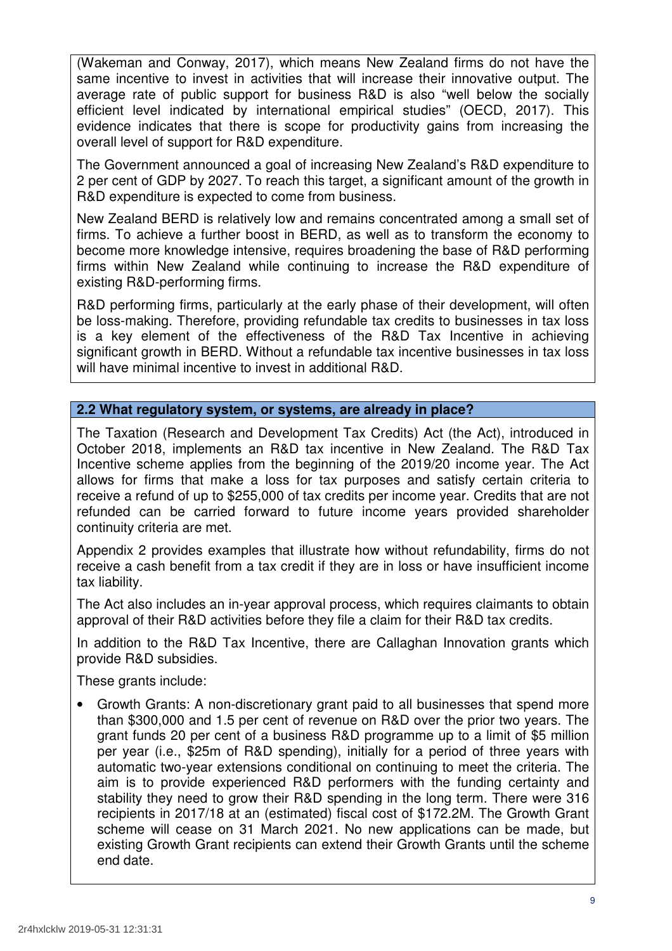(Wakeman and Conway, 2017), which means New Zealand firms do not have the same incentive to invest in activities that will increase their innovative output. The average rate of public support for business R&D is also "well below the socially efficient level indicated by international empirical studies" (OECD, 2017). This evidence indicates that there is scope for productivity gains from increasing the overall level of support for R&D expenditure.

 The Government announced a goal of increasing New Zealand's R&D expenditure to 2 per cent of GDP by 2027. To reach this target, a significant amount of the growth in R&D expenditure is expected to come from business.

 New Zealand BERD is relatively low and remains concentrated among a small set of firms. To achieve a further boost in BERD, as well as to transform the economy to become more knowledge intensive, requires broadening the base of R&D performing firms within New Zealand while continuing to increase the R&D expenditure of existing R&D-performing firms.

 R&D performing firms, particularly at the early phase of their development, will often be loss-making. Therefore, providing refundable tax credits to businesses in tax loss is a key element of the effectiveness of the R&D Tax Incentive in achieving significant growth in BERD. Without a refundable tax incentive businesses in tax loss will have minimal incentive to invest in additional R&D.

# **2.2 What regulatory system, or systems, are already in place?**

 The Taxation (Research and Development Tax Credits) Act (the Act), introduced in October 2018, implements an R&D tax incentive in New Zealand. The R&D Tax Incentive scheme applies from the beginning of the 2019/20 income year. The Act allows for firms that make a loss for tax purposes and satisfy certain criteria to receive a refund of up to \$255,000 of tax credits per income year. Credits that are not refunded can be carried forward to future income years provided shareholder continuity criteria are met.

 Appendix 2 provides examples that illustrate how without refundability, firms do not receive a cash benefit from a tax credit if they are in loss or have insufficient income tax liability.

 The Act also includes an in-year approval process, which requires claimants to obtain approval of their R&D activities before they file a claim for their R&D tax credits.

 In addition to the R&D Tax Incentive, there are Callaghan Innovation grants which provide R&D subsidies.

These grants include:

 than \$300,000 and 1.5 per cent of revenue on R&D over the prior two years. The grant funds 20 per cent of a business R&D programme up to a limit of \$5 million per year (i.e., \$25m of R&D spending), initially for a period of three years with automatic two-year extensions conditional on continuing to meet the criteria. The aim is to provide experienced R&D performers with the funding certainty and stability they need to grow their R&D spending in the long term. There were 316 recipients in 2017/18 at an (estimated) fiscal cost of \$172.2M. The Growth Grant scheme will cease on 31 March 2021. No new applications can be made, but existing Growth Grant recipients can extend their Growth Grants until the scheme end date. • Growth Grants: A non-discretionary grant paid to all businesses that spend more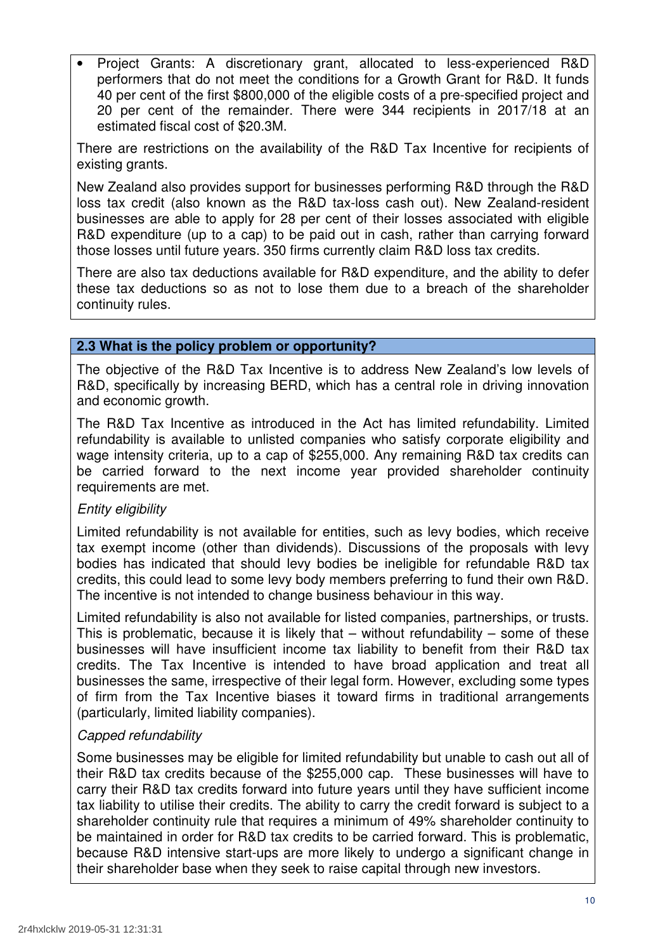performers that do not meet the conditions for a Growth Grant for R&D. It funds 40 per cent of the first \$800,000 of the eligible costs of a pre-specified project and 20 per cent of the remainder. There were 344 recipients in 2017/18 at an estimated fiscal cost of \$20.3M. • Project Grants: A discretionary grant, allocated to less-experienced R&D

 There are restrictions on the availability of the R&D Tax Incentive for recipients of existing grants.

 New Zealand also provides support for businesses performing R&D through the R&D loss tax credit (also known as the R&D tax-loss cash out). New Zealand-resident businesses are able to apply for 28 per cent of their losses associated with eligible R&D expenditure (up to a cap) to be paid out in cash, rather than carrying forward those losses until future years. 350 firms currently claim R&D loss tax credits.

 There are also tax deductions available for R&D expenditure, and the ability to defer these tax deductions so as not to lose them due to a breach of the shareholder continuity rules.

# **2.3 What is the policy problem or opportunity?**

 The objective of the R&D Tax Incentive is to address New Zealand's low levels of R&D, specifically by increasing BERD, which has a central role in driving innovation and economic growth.

 The R&D Tax Incentive as introduced in the Act has limited refundability. Limited refundability is available to unlisted companies who satisfy corporate eligibility and wage intensity criteria, up to a cap of \$255,000. Any remaining R&D tax credits can be carried forward to the next income year provided shareholder continuity requirements are met.

# Entity eligibility

 Limited refundability is not available for entities, such as levy bodies, which receive tax exempt income (other than dividends). Discussions of the proposals with levy bodies has indicated that should levy bodies be ineligible for refundable R&D tax credits, this could lead to some levy body members preferring to fund their own R&D. The incentive is not intended to change business behaviour in this way.

 Limited refundability is also not available for listed companies, partnerships, or trusts. This is problematic, because it is likely that – without refundability – some of these businesses will have insufficient income tax liability to benefit from their R&D tax credits. The Tax Incentive is intended to have broad application and treat all businesses the same, irrespective of their legal form. However, excluding some types of firm from the Tax Incentive biases it toward firms in traditional arrangements (particularly, limited liability companies).

# Capped refundability

 Some businesses may be eligible for limited refundability but unable to cash out all of their R&D tax credits because of the \$255,000 cap. These businesses will have to carry their R&D tax credits forward into future years until they have sufficient income tax liability to utilise their credits. The ability to carry the credit forward is subject to a shareholder continuity rule that requires a minimum of 49% shareholder continuity to be maintained in order for R&D tax credits to be carried forward. This is problematic, because R&D intensive start-ups are more likely to undergo a significant change in their shareholder base when they seek to raise capital through new investors.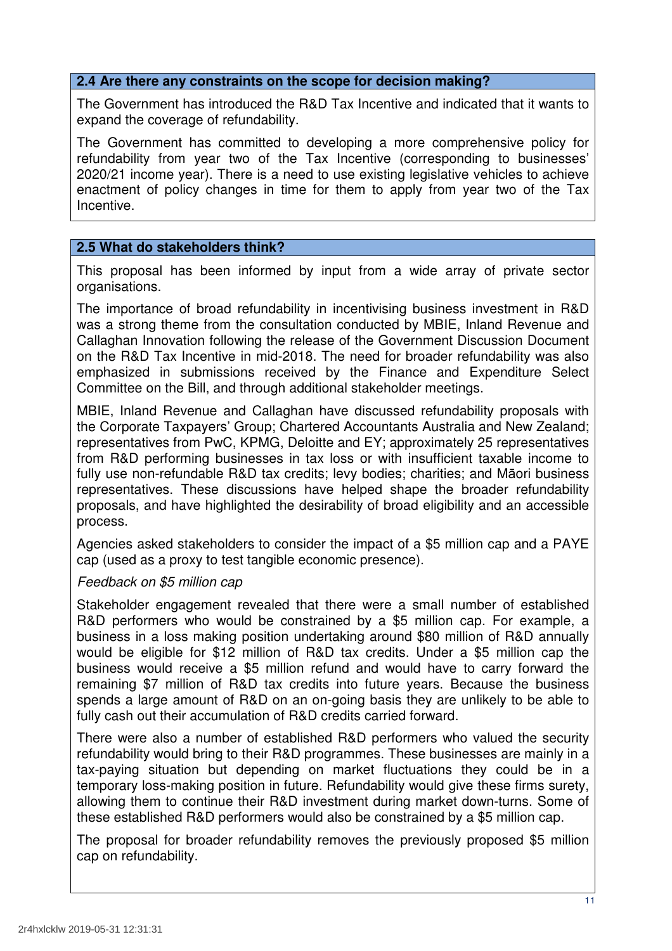#### **2.4 Are there any constraints on the scope for decision making?**

 The Government has introduced the R&D Tax Incentive and indicated that it wants to expand the coverage of refundability.

 The Government has committed to developing a more comprehensive policy for refundability from year two of the Tax Incentive (corresponding to businesses' 2020/21 income year). There is a need to use existing legislative vehicles to achieve enactment of policy changes in time for them to apply from year two of the Tax Incentive.

# **2.5 What do stakeholders think?**

 This proposal has been informed by input from a wide array of private sector organisations.

 The importance of broad refundability in incentivising business investment in R&D was a strong theme from the consultation conducted by MBIE, Inland Revenue and Callaghan Innovation following the release of the Government Discussion Document on the R&D Tax Incentive in mid-2018. The need for broader refundability was also emphasized in submissions received by the Finance and Expenditure Select Committee on the Bill, and through additional stakeholder meetings.

 MBIE, Inland Revenue and Callaghan have discussed refundability proposals with the Corporate Taxpayers' Group; Chartered Accountants Australia and New Zealand; representatives from PwC, KPMG, Deloitte and EY; approximately 25 representatives from R&D performing businesses in tax loss or with insufficient taxable income to fully use non-refundable R&D tax credits; levy bodies; charities; and Māori business representatives. These discussions have helped shape the broader refundability proposals, and have highlighted the desirability of broad eligibility and an accessible process.

process.<br>Agencies asked stakeholders to consider the impact of a \$5 million cap and a PAYE cap (used as a proxy to test tangible economic presence).

# Feedback on \$5 million cap

 Stakeholder engagement revealed that there were a small number of established R&D performers who would be constrained by a \$5 million cap. For example, a business in a loss making position undertaking around \$80 million of R&D annually would be eligible for \$12 million of R&D tax credits. Under a \$5 million cap the business would receive a \$5 million refund and would have to carry forward the remaining \$7 million of R&D tax credits into future years. Because the business spends a large amount of R&D on an on-going basis they are unlikely to be able to fully cash out their accumulation of R&D credits carried forward.

 There were also a number of established R&D performers who valued the security refundability would bring to their R&D programmes. These businesses are mainly in a tax-paying situation but depending on market fluctuations they could be in a temporary loss-making position in future. Refundability would give these firms surety, allowing them to continue their R&D investment during market down-turns. Some of these established R&D performers would also be constrained by a \$5 million cap.

 The proposal for broader refundability removes the previously proposed \$5 million cap on refundability.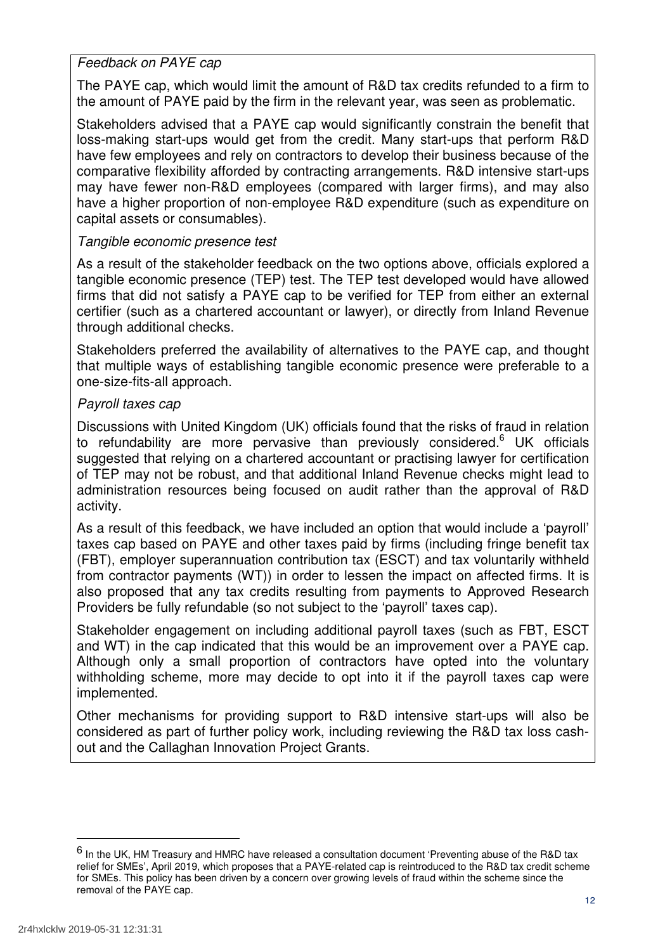# Feedback on PAYE cap

 The PAYE cap, which would limit the amount of R&D tax credits refunded to a firm to the amount of PAYE paid by the firm in the relevant year, was seen as problematic.

 Stakeholders advised that a PAYE cap would significantly constrain the benefit that loss-making start-ups would get from the credit. Many start-ups that perform R&D have few employees and rely on contractors to develop their business because of the comparative flexibility afforded by contracting arrangements. R&D intensive start-ups may have fewer non-R&D employees (compared with larger firms), and may also have a higher proportion of non-employee R&D expenditure (such as expenditure on capital assets or consumables).

# Tangible economic presence test

 As a result of the stakeholder feedback on the two options above, officials explored a tangible economic presence (TEP) test. The TEP test developed would have allowed firms that did not satisfy a PAYE cap to be verified for TEP from either an external certifier (such as a chartered accountant or lawyer), or directly from Inland Revenue through additional checks.

 Stakeholders preferred the availability of alternatives to the PAYE cap, and thought that multiple ways of establishing tangible economic presence were preferable to a one-size-fits-all approach.

# Payroll taxes cap

 Discussions with United Kingdom (UK) officials found that the risks of fraud in relation to refundability are more pervasive than previously considered.<sup>6</sup> UK officials suggested that relying on a chartered accountant or practising lawyer for certification of TEP may not be robust, and that additional Inland Revenue checks might lead to administration resources being focused on audit rather than the approval of R&D activity.

activity.<br>As a result of this feedback, we have included an option that would include a 'payroll' taxes cap based on PAYE and other taxes paid by firms (including fringe benefit tax (FBT), employer superannuation contribution tax (ESCT) and tax voluntarily withheld from contractor payments (WT)) in order to lessen the impact on affected firms. It is also proposed that any tax credits resulting from payments to Approved Research Providers be fully refundable (so not subject to the 'payroll' taxes cap).

 Stakeholder engagement on including additional payroll taxes (such as FBT, ESCT and WT) in the cap indicated that this would be an improvement over a PAYE cap. Although only a small proportion of contractors have opted into the voluntary withholding scheme, more may decide to opt into it if the payroll taxes cap were implemented.

 Other mechanisms for providing support to R&D intensive start-ups will also be considered as part of further policy work, including reviewing the R&D tax loss cash-out and the Callaghan Innovation Project Grants.

 $^6$  In the UK, HM Treasury and HMRC have released a consultation document 'Preventing abuse of the R&D tax relief for SMEs', April 2019, which proposes that a PAYE-related cap is reintroduced to the R&D tax credit scheme for SMEs. This policy has been driven by a concern over growing levels of fraud within the scheme since the removal of the PAYE cap.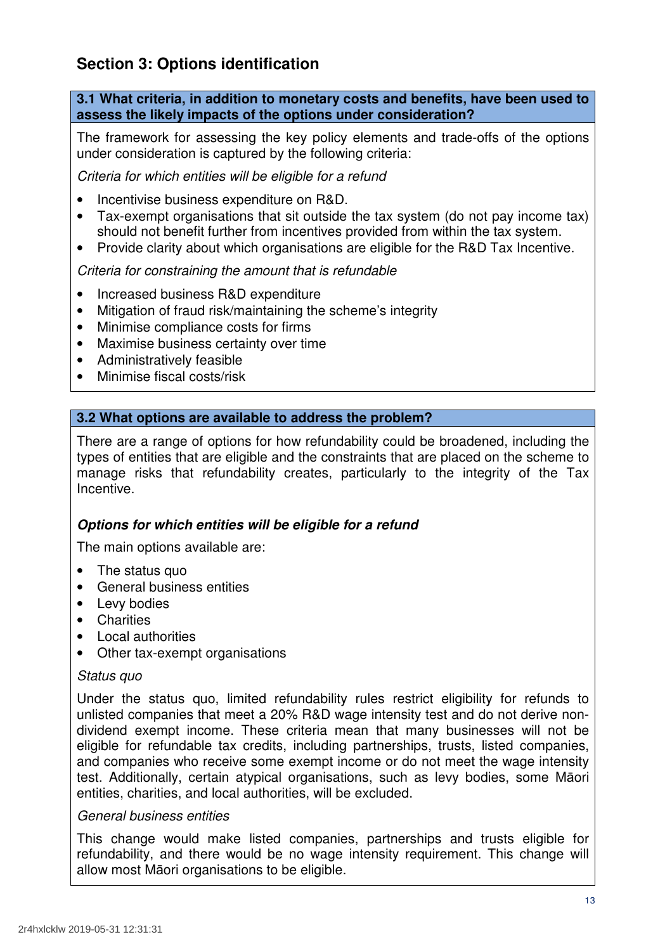# **Section 3: Options identification**

 **3.1 What criteria, in addition to monetary costs and benefits, have been used to assess the likely impacts of the options under consideration?** 

 The framework for assessing the key policy elements and trade-offs of the options under consideration is captured by the following criteria:

Criteria for which entities will be eligible for a refund

- Incentivise business expenditure on R&D.
- • Tax-exempt organisations that sit outside the tax system (do not pay income tax) should not benefit further from incentives provided from within the tax system.
- $\bullet$ • Provide clarity about which organisations are eligible for the R&D Tax Incentive.

Criteria for constraining the amount that is refundable

- Increased business R&D expenditure
- Mitigation of fraud risk/maintaining the scheme's integrity
- Minimise compliance costs for firms
- Maximise business certainty over time
- Administratively feasible
- Minimise fiscal costs/risk

# **3.2 What options are available to address the problem?**

 There are a range of options for how refundability could be broadened, including the types of entities that are eligible and the constraints that are placed on the scheme to manage risks that refundability creates, particularly to the integrity of the Tax Incentive.

# **Options for which entities will be eligible for a refund**

The main options available are:

- The status quo
- General business entities
- Levy bodies
- Charities
- Local authorities
- Other tax-exempt organisations

#### Status quo

 Under the status quo, limited refundability rules restrict eligibility for refunds to unlisted companies that meet a 20% R&D wage intensity test and do not derive non- dividend exempt income. These criteria mean that many businesses will not be eligible for refundable tax credits, including partnerships, trusts, listed companies, and companies who receive some exempt income or do not meet the wage intensity test. Additionally, certain atypical organisations, such as levy bodies, some Māori entities, charities, and local authorities, will be excluded.

#### General business entities

 This change would make listed companies, partnerships and trusts eligible for refundability, and there would be no wage intensity requirement. This change will allow most Māori organisations to be eligible.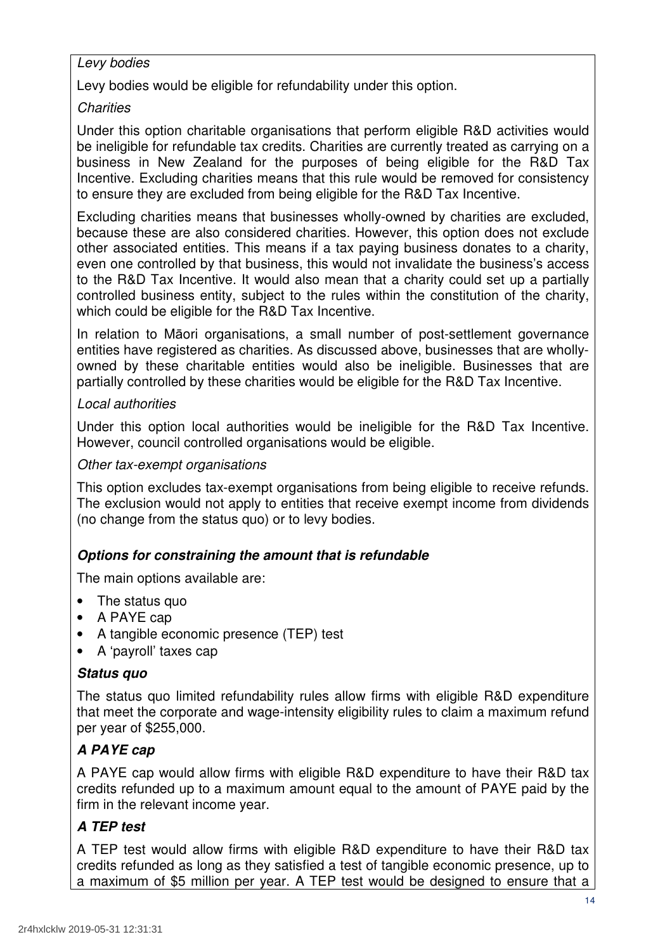# Levy bodies

Levy bodies would be eligible for refundability under this option.

# **Charities**

 Under this option charitable organisations that perform eligible R&D activities would be ineligible for refundable tax credits. Charities are currently treated as carrying on a business in New Zealand for the purposes of being eligible for the R&D Tax Incentive. Excluding charities means that this rule would be removed for consistency to ensure they are excluded from being eligible for the R&D Tax Incentive.

 Excluding charities means that businesses wholly-owned by charities are excluded, because these are also considered charities. However, this option does not exclude other associated entities. This means if a tax paying business donates to a charity, even one controlled by that business, this would not invalidate the business's access to the R&D Tax Incentive. It would also mean that a charity could set up a partially controlled business entity, subject to the rules within the constitution of the charity, which could be eligible for the R&D Tax Incentive.

 In relation to Māori organisations, a small number of post-settlement governance entities have registered as charities. As discussed above, businesses that are wholly- owned by these charitable entities would also be ineligible. Businesses that are partially controlled by these charities would be eligible for the R&D Tax Incentive.

# Local authorities

 Under this option local authorities would be ineligible for the R&D Tax Incentive. However, council controlled organisations would be eligible.

### Other tax-exempt organisations

 This option excludes tax-exempt organisations from being eligible to receive refunds. The exclusion would not apply to entities that receive exempt income from dividends (no change from the status quo) or to levy bodies.

# **Options for constraining the amount that is refundable**

The main options available are:

- The status quo
- A PAYE cap
- A tangible economic presence (TEP) test
- A 'payroll' taxes cap

#### **Status quo**

 The status quo limited refundability rules allow firms with eligible R&D expenditure that meet the corporate and wage-intensity eligibility rules to claim a maximum refund per year of \$255,000.

# **A PAYE cap**

 A PAYE cap would allow firms with eligible R&D expenditure to have their R&D tax credits refunded up to a maximum amount equal to the amount of PAYE paid by the firm in the relevant income year.

# **A TEP test**

 A TEP test would allow firms with eligible R&D expenditure to have their R&D tax credits refunded as long as they satisfied a test of tangible economic presence, up to a maximum of \$5 million per year. A TEP test would be designed to ensure that a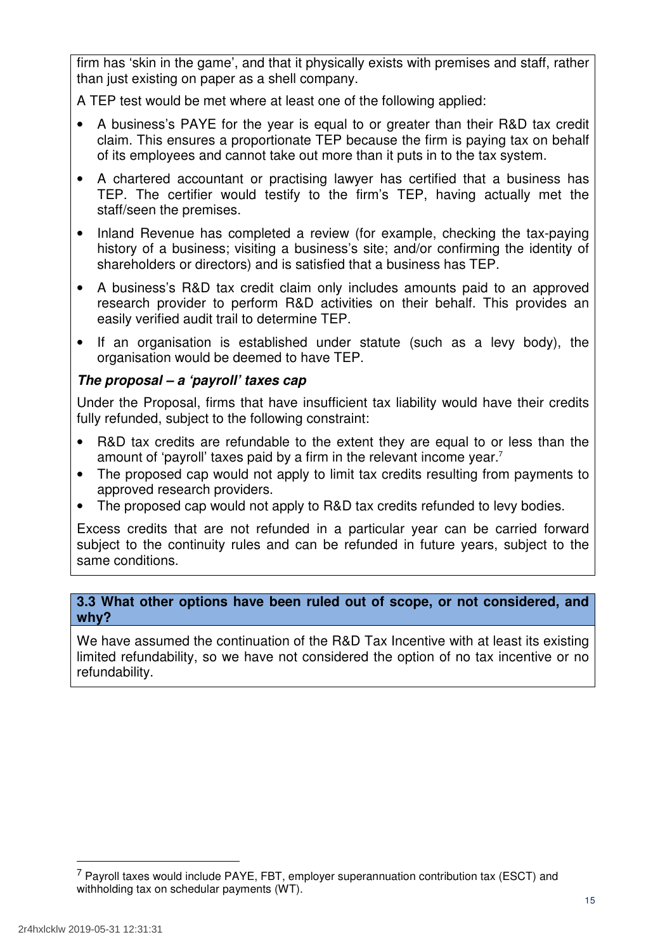firm has 'skin in the game', and that it physically exists with premises and staff, rather than just existing on paper as a shell company.

A TEP test would be met where at least one of the following applied:

- claim. This ensures a proportionate TEP because the firm is paying tax on behalf of its employees and cannot take out more than it puts in to the tax system. • A business's PAYE for the year is equal to or greater than their R&D tax credit
- TEP. The certifier would testify to the firm's TEP, having actually met the staff/seen the premises. • A chartered accountant or practising lawyer has certified that a business has
- $\bullet$  history of a business; visiting a business's site; and/or confirming the identity of shareholders or directors) and is satisfied that a business has TEP. • Inland Revenue has completed a review (for example, checking the tax-paying
- • A business's R&D tax credit claim only includes amounts paid to an approved research provider to perform R&D activities on their behalf. This provides an easily verified audit trail to determine TEP.
- • If an organisation is established under statute (such as a levy body), the organisation would be deemed to have TEP.

# **The proposal – a 'payroll' taxes cap**

 Under the Proposal, firms that have insufficient tax liability would have their credits fully refunded, subject to the following constraint:

- amount of 'payroll' taxes paid by a firm in the relevant income year.<sup>7</sup> R&D tax credits are refundable to the extent they are equal to or less than the
- approved research providers. The proposed cap would not apply to limit tax credits resulting from payments to
- The proposed cap would not apply to R&D tax credits refunded to levy bodies.

 Excess credits that are not refunded in a particular year can be carried forward subject to the continuity rules and can be refunded in future years, subject to the same conditions.

# **3.3 What other options have been ruled out of scope, or not considered, and why?**

 We have assumed the continuation of the R&D Tax Incentive with at least its existing limited refundability, so we have not considered the option of no tax incentive or no refundability.

 $7$  Payroll taxes would include PAYE, FBT, employer superannuation contribution tax (ESCT) and withholding tax on schedular payments (WT).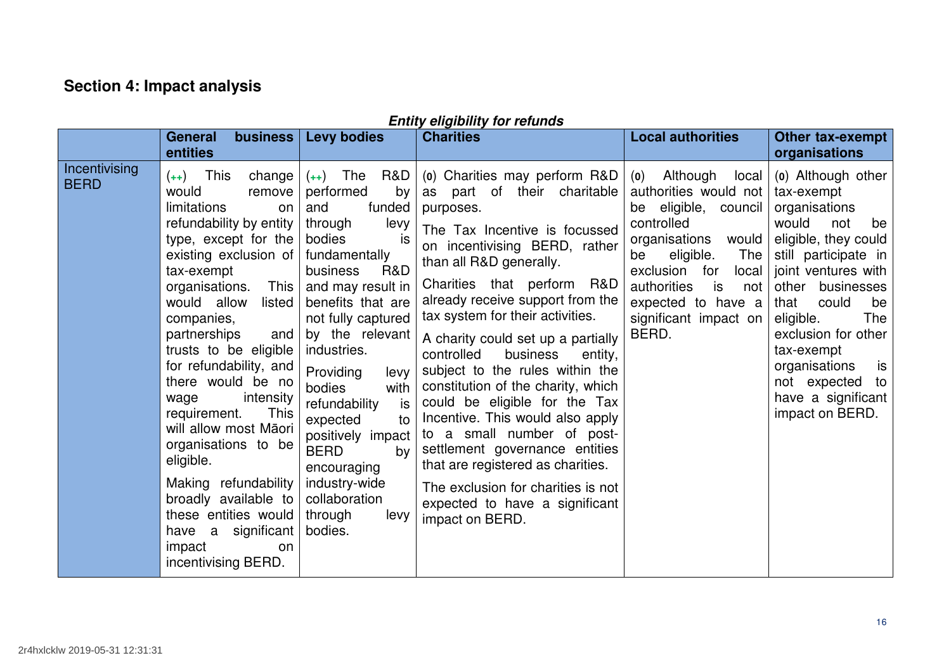# **Section 4: Impact analysis**

|                              | business<br><b>General</b>                                                                                                                                                                                                                                                                                                                                                                                                                                                                                                                                                    | <b>Levy bodies</b>                                                                                                                                                                                                                                                                                                                                                                                                                      | <b>ENTITY ENGIBILITY TOT FETUNGS</b><br><b>Charities</b>                                                                                                                                                                                                                                                                                                                                                                                                                                                                                                                                                                                                                                              | <b>Local authorities</b>                                                                                                                                                                                                                                  | Other tax-exempt                                                                                                                                                                                                                                                                                                                      |
|------------------------------|-------------------------------------------------------------------------------------------------------------------------------------------------------------------------------------------------------------------------------------------------------------------------------------------------------------------------------------------------------------------------------------------------------------------------------------------------------------------------------------------------------------------------------------------------------------------------------|-----------------------------------------------------------------------------------------------------------------------------------------------------------------------------------------------------------------------------------------------------------------------------------------------------------------------------------------------------------------------------------------------------------------------------------------|-------------------------------------------------------------------------------------------------------------------------------------------------------------------------------------------------------------------------------------------------------------------------------------------------------------------------------------------------------------------------------------------------------------------------------------------------------------------------------------------------------------------------------------------------------------------------------------------------------------------------------------------------------------------------------------------------------|-----------------------------------------------------------------------------------------------------------------------------------------------------------------------------------------------------------------------------------------------------------|---------------------------------------------------------------------------------------------------------------------------------------------------------------------------------------------------------------------------------------------------------------------------------------------------------------------------------------|
|                              | entities                                                                                                                                                                                                                                                                                                                                                                                                                                                                                                                                                                      |                                                                                                                                                                                                                                                                                                                                                                                                                                         |                                                                                                                                                                                                                                                                                                                                                                                                                                                                                                                                                                                                                                                                                                       |                                                                                                                                                                                                                                                           | organisations                                                                                                                                                                                                                                                                                                                         |
| Incentivising<br><b>BERD</b> | $(++)$ This<br>change<br>would<br>remove<br>limitations<br>on<br>refundability by entity<br>type, except for the<br>existing exclusion of<br>tax-exempt<br>This<br>organisations.<br>would allow<br>listed<br>companies,<br>partnerships<br>and<br>trusts to be eligible<br>for refundability, and<br>there would be no<br>intensity<br>wage<br><b>This</b><br>requirement.<br>will allow most Māori<br>organisations to be<br>eligible.<br>Making refundability<br>broadly available to<br>these entities would<br>have a significant<br>impact<br>on<br>incentivising BERD. | R&D<br>$(++)$ The<br>performed<br>by<br>funded<br>and<br>levy<br>through<br>bodies<br>is<br>fundamentally<br>R&D<br>business<br>and may result in<br>benefits that are<br>not fully captured<br>by the relevant<br>industries.<br>Providing<br>levy<br>bodies<br>with<br>is<br>refundability<br>expected<br>to<br>positively impact<br><b>BERD</b><br>by<br>encouraging<br>industry-wide<br>collaboration<br>through<br>levy<br>bodies. | (o) Charities may perform R&D<br>as part of their charitable<br>purposes.<br>The Tax Incentive is focussed<br>on incentivising BERD, rather<br>than all R&D generally.<br>Charities that perform R&D<br>already receive support from the<br>tax system for their activities.<br>A charity could set up a partially<br>controlled<br>business<br>entity,<br>subject to the rules within the<br>constitution of the charity, which<br>could be eligible for the Tax<br>Incentive. This would also apply<br>to a small number of post-<br>settlement governance entities<br>that are registered as charities.<br>The exclusion for charities is not<br>expected to have a significant<br>impact on BERD. | Although<br>(0)<br>local<br>authorities would not<br>be eligible, council<br>controlled<br>would<br>organisations<br>eligible.<br>The<br>be<br>exclusion for<br>local<br>authorities<br>is<br>not<br>expected to have a<br>significant impact on<br>BERD. | (o) Although other<br>tax-exempt<br>organisations<br>would<br>not<br>be<br>eligible, they could<br>still participate in<br>joint ventures with<br>other businesses<br>that<br>could<br>be<br>eligible.<br>The<br>exclusion for other<br>tax-exempt<br>organisations<br>is<br>not expected to<br>have a significant<br>impact on BERD. |

# **Entity eligibility for refunds**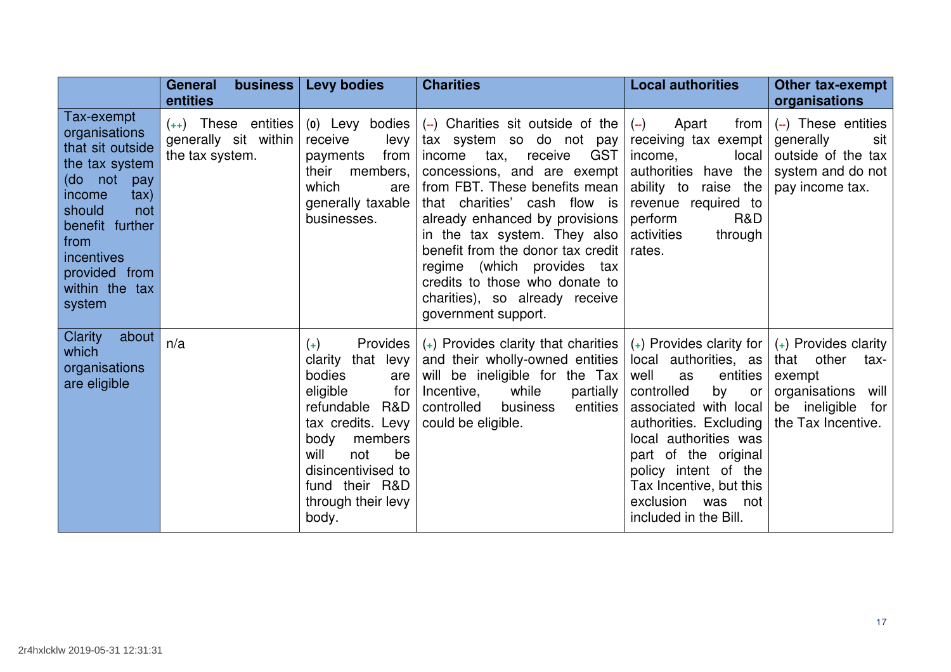|                                                                                                                                                                                                                     | <b>General</b><br>business<br>entities                           | <b>Levy bodies</b>                                                                                                                                                                                                                     | <b>Charities</b>                                                                                                                                                                                                                                                                                                                                                                                                                         | <b>Local authorities</b>                                                                                                                                                                                                                                                                                     | Other tax-exempt<br>organisations                                                                                                |
|---------------------------------------------------------------------------------------------------------------------------------------------------------------------------------------------------------------------|------------------------------------------------------------------|----------------------------------------------------------------------------------------------------------------------------------------------------------------------------------------------------------------------------------------|------------------------------------------------------------------------------------------------------------------------------------------------------------------------------------------------------------------------------------------------------------------------------------------------------------------------------------------------------------------------------------------------------------------------------------------|--------------------------------------------------------------------------------------------------------------------------------------------------------------------------------------------------------------------------------------------------------------------------------------------------------------|----------------------------------------------------------------------------------------------------------------------------------|
| Tax-exempt<br>organisations<br>that sit outside<br>the tax system<br>(do not<br>pay<br>$\{$<br>income<br>should<br>not<br>benefit further<br>from<br><i>incentives</i><br>provided from<br>within the tax<br>system | $(++)$ These entities<br>generally sit within<br>the tax system. | (o) Levy bodies<br>receive<br>levy<br>from<br>payments<br>their<br>members,<br>which<br>are<br>generally taxable<br>businesses.                                                                                                        | (--) Charities sit outside of the<br>tax system so do not pay<br><b>GST</b><br>income<br>tax,<br>receive<br>concessions, and are exempt<br>from FBT. These benefits mean<br>that charities' cash flow is<br>already enhanced by provisions<br>in the tax system. They also<br>benefit from the donor tax credit<br>regime (which provides tax<br>credits to those who donate to<br>charities), so already receive<br>government support. | Apart<br>from<br>$(-)$<br>receiving tax exempt<br>local<br>income,<br>authorities<br>have the<br>ability to<br>raise the<br>revenue required to<br>R&D<br>perform<br>activities<br>through<br>rates.                                                                                                         | $(-)$ These entities<br>generally<br>sit<br>outside of the tax<br>system and do not<br>pay income tax.                           |
| Clarity<br>about<br>which<br>organisations<br>are eligible                                                                                                                                                          | n/a                                                              | Provides<br>$(+)$<br>that levy<br>clarity<br>bodies<br>are<br>eligible<br>for<br>refundable<br>R&D<br>tax credits. Levy<br>body<br>members<br>will<br>be<br>not<br>disincentivised to<br>fund their R&D<br>through their levy<br>body. | $(+)$ Provides clarity that charities $ $<br>and their wholly-owned entities<br>will be ineligible for the Tax<br>Incentive,<br>while<br>partially<br>controlled<br>entities<br>business<br>could be eligible.                                                                                                                                                                                                                           | $(+)$ Provides clarity for<br>local authorities, as<br>well<br>entities<br>as<br>controlled<br>by<br>or<br>associated with local<br>authorities. Excluding<br>local authorities was<br>part of the original<br>policy intent of the<br>Tax Incentive, but this<br>exclusion was not<br>included in the Bill. | $(+)$ Provides clarity<br>that<br>other<br>tax-<br>exempt<br>organisations<br>will<br>be ineligible<br>for<br>the Tax Incentive. |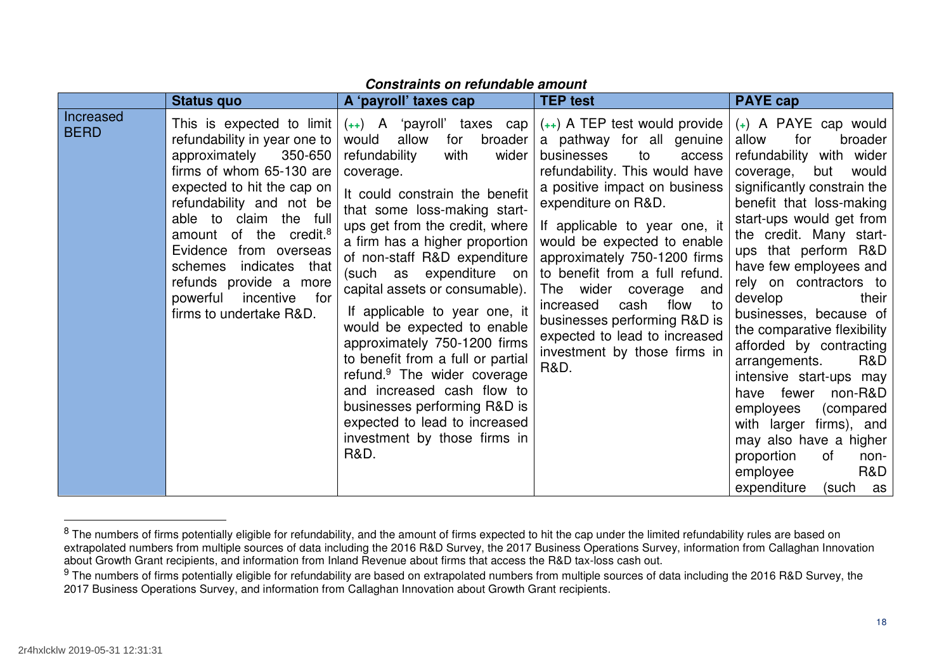|                                 | <b>Status quo</b>                                                                                                                                                                                                                                                                                                                                                                       | A 'payroll' taxes cap                                                                                                                                                                                                                                                                                                                                                                                                                                                                                                                                                                                                                                                     | <b>TEP test</b>                                                                                                                                                                                                                                                                                                                                                                                                                                                                                   | <b>PAYE cap</b>                                                                                                                                                                                                                                                                                                                                                                                                                                                                                                                                                                                                                                       |
|---------------------------------|-----------------------------------------------------------------------------------------------------------------------------------------------------------------------------------------------------------------------------------------------------------------------------------------------------------------------------------------------------------------------------------------|---------------------------------------------------------------------------------------------------------------------------------------------------------------------------------------------------------------------------------------------------------------------------------------------------------------------------------------------------------------------------------------------------------------------------------------------------------------------------------------------------------------------------------------------------------------------------------------------------------------------------------------------------------------------------|---------------------------------------------------------------------------------------------------------------------------------------------------------------------------------------------------------------------------------------------------------------------------------------------------------------------------------------------------------------------------------------------------------------------------------------------------------------------------------------------------|-------------------------------------------------------------------------------------------------------------------------------------------------------------------------------------------------------------------------------------------------------------------------------------------------------------------------------------------------------------------------------------------------------------------------------------------------------------------------------------------------------------------------------------------------------------------------------------------------------------------------------------------------------|
| <b>Increased</b><br><b>BERD</b> | This is expected to limit<br>refundability in year one to<br>approximately<br>350-650<br>firms of whom 65-130 are<br>expected to hit the cap on<br>refundability and not be<br>able to claim the full<br>amount of the credit. <sup>8</sup><br>Evidence from overseas<br>indicates that<br>schemes<br>refunds provide a more<br>powerful<br>incentive<br>for<br>firms to undertake R&D. | $(++)$ A 'payroll' taxes cap<br>would<br>allow<br>for<br>broader<br>wider<br>refundability<br>with<br>coverage.<br>It could constrain the benefit<br>that some loss-making start-<br>ups get from the credit, where<br>a firm has a higher proportion<br>of non-staff R&D expenditure<br>(such as expenditure on<br>capital assets or consumable).<br>If applicable to year one, it<br>would be expected to enable<br>approximately 750-1200 firms<br>to benefit from a full or partial<br>refund. <sup>9</sup> The wider coverage<br>and increased cash flow to<br>businesses performing R&D is<br>expected to lead to increased<br>investment by those firms in<br>R&D. | $(++)$ A TEP test would provide<br>a pathway for all genuine<br>businesses<br>to<br>access<br>refundability. This would have<br>a positive impact on business<br>expenditure on R&D.<br>If applicable to year one, it<br>would be expected to enable<br>approximately 750-1200 firms<br>to benefit from a full refund.<br>The wider coverage<br>and<br>flow<br>increased<br>cash<br>− to<br>businesses performing R&D is<br>expected to lead to increased<br>investment by those firms in<br>R&D. | $(+)$ A PAYE cap would<br>allow<br>for<br>broader<br>refundability with wider<br>would<br>coverage,<br>but<br>significantly constrain the<br>benefit that loss-making<br>start-ups would get from<br>the credit. Many start-<br>ups that perform R&D<br>have few employees and<br>rely on contractors to<br>develop<br>their<br>businesses, because of<br>the comparative flexibility<br>afforded by contracting<br>R&D<br>arrangements.<br>intensive start-ups may<br>non-R&D<br>have fewer<br>employees<br>(compared<br>with larger firms), and<br>may also have a higher<br>proportion<br>0f<br>non-<br>R&D<br>employee<br>expenditure<br>(such as |

#### **Constraints on refundable amount**

<sup>&</sup>lt;sup>8</sup> The numbers of firms potentially eligible for refundability, and the amount of firms expected to hit the cap under the limited refundability rules are based on extrapolated numbers from multiple sources of data including the 2016 R&D Survey, the 2017 Business Operations Survey, information from Callaghan Innovation about Growth Grant recipients, and information from Inland Revenue about firms that access the R&D tax-loss cash out.

<sup>&</sup>lt;sup>9</sup> The numbers of firms potentially eligible for refundability are based on extrapolated numbers from multiple sources of data including the 2016 R&D Survey, the 2017 Business Operations Survey, and information from Callaghan Innovation about Growth Grant recipients.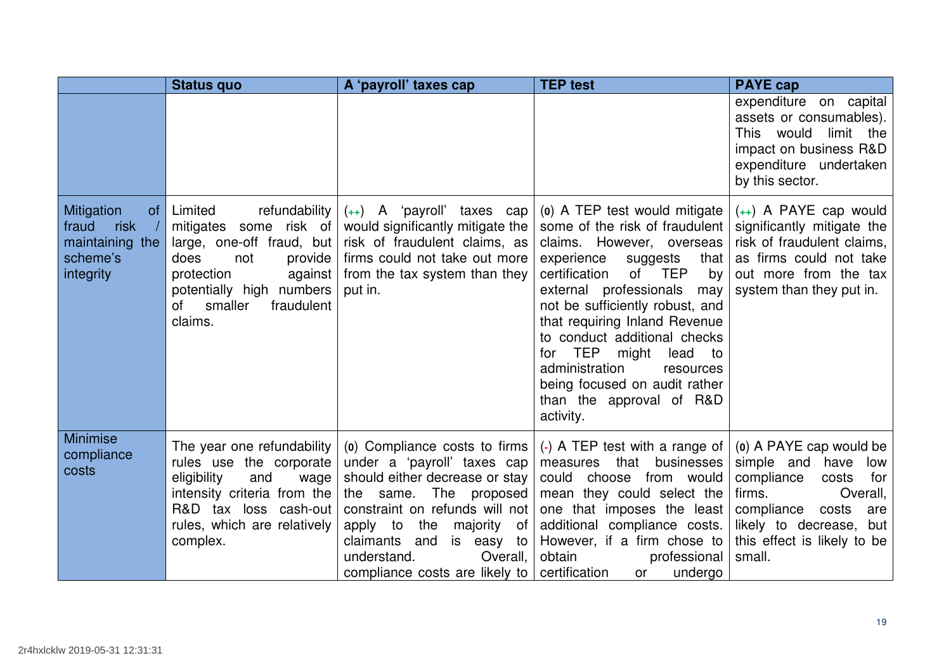|                                                                                            | <b>Status quo</b>                                                                                                                                                                                        | A 'payroll' taxes cap                                                                                                                                                                                                                                                                             | <b>TEP test</b>                                                                                                                                                                                                                                                                                                                                                                                                                                           | <b>PAYE cap</b>                                                                                                                                                                                         |
|--------------------------------------------------------------------------------------------|----------------------------------------------------------------------------------------------------------------------------------------------------------------------------------------------------------|---------------------------------------------------------------------------------------------------------------------------------------------------------------------------------------------------------------------------------------------------------------------------------------------------|-----------------------------------------------------------------------------------------------------------------------------------------------------------------------------------------------------------------------------------------------------------------------------------------------------------------------------------------------------------------------------------------------------------------------------------------------------------|---------------------------------------------------------------------------------------------------------------------------------------------------------------------------------------------------------|
|                                                                                            |                                                                                                                                                                                                          |                                                                                                                                                                                                                                                                                                   |                                                                                                                                                                                                                                                                                                                                                                                                                                                           | expenditure on capital<br>assets or consumables).<br>This would<br>limit the<br>impact on business R&D<br>expenditure undertaken<br>by this sector.                                                     |
| Mitigation<br>of <sub>1</sub><br>risk<br>fraud<br>maintaining the<br>scheme's<br>integrity | Limited<br>refundability<br>mitigates some risk of<br>large, one-off fraud, but<br>not<br>provide<br>does<br>protection<br>against<br>potentially high numbers<br>οf<br>smaller<br>fraudulent<br>claims. | $(++)$ A 'payroll' taxes cap<br>would significantly mitigate the<br>risk of fraudulent claims, as<br>firms could not take out more<br>from the tax system than they<br>put in.                                                                                                                    | (a) A TEP test would mitigate<br>some of the risk of fraudulent<br>claims. However, overseas<br>experience<br>that<br>suggests<br>certification<br>0f<br><b>TEP</b><br>by<br>external professionals<br>may<br>not be sufficiently robust, and<br>that requiring Inland Revenue<br>to conduct additional checks<br>TEP might<br>for<br>lead<br>to<br>administration<br>resources<br>being focused on audit rather<br>than the approval of R&D<br>activity. | $(++)$ A PAYE cap would<br>significantly mitigate the<br>risk of fraudulent claims,<br>as firms could not take<br>out more from the tax<br>system than they put in.                                     |
| <b>Minimise</b><br>compliance<br>costs                                                     | The year one refundability<br>rules use the corporate<br>eligibility<br>and<br>wage<br>intensity criteria from the<br>R&D tax loss cash-out<br>rules, which are relatively<br>complex.                   | (o) Compliance costs to firms<br>under a 'payroll' taxes cap<br>should either decrease or stay<br>same. The proposed<br>the<br>constraint on refunds will not<br>apply to<br>the<br>majority<br>of<br>claimants<br>and<br>is easy to<br>understand.<br>Overall,<br>compliance costs are likely to | (-) A TEP test with a range of<br>measures that<br>businesses<br>could choose<br>from would<br>mean they could select the<br>one that imposes the least<br>additional compliance costs.<br>However, if a firm chose to<br>obtain<br>professional<br>certification<br>undergo<br>or                                                                                                                                                                        | (a) A PAYE cap would be<br>simple and have<br>low<br>compliance<br>costs<br>for<br>firms.<br>Overall,<br>compliance<br>costs<br>are<br>likely to decrease, but<br>this effect is likely to be<br>small. |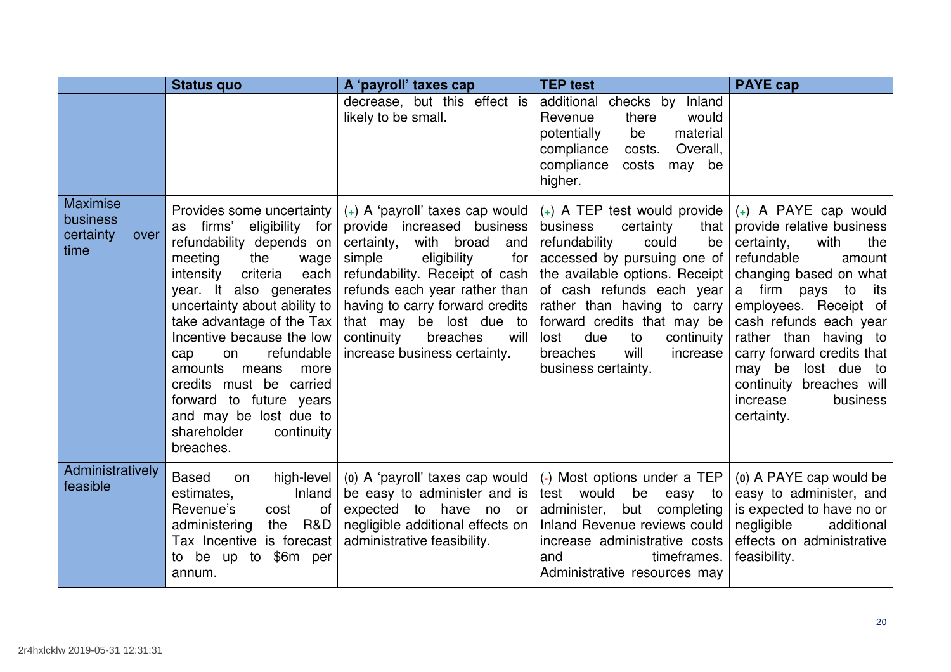|                                                          | <b>Status quo</b>                                                                                                                                                                                                                                                                                                                                                                                                                                         | A 'payroll' taxes cap                                                                                                                                                                                                                                                                              | <b>TEP test</b>                                                                                                                                                                                                                                                                                                                                                                       | <b>PAYE cap</b>                                                                                                                                                                                                                                                                                                                                                  |
|----------------------------------------------------------|-----------------------------------------------------------------------------------------------------------------------------------------------------------------------------------------------------------------------------------------------------------------------------------------------------------------------------------------------------------------------------------------------------------------------------------------------------------|----------------------------------------------------------------------------------------------------------------------------------------------------------------------------------------------------------------------------------------------------------------------------------------------------|---------------------------------------------------------------------------------------------------------------------------------------------------------------------------------------------------------------------------------------------------------------------------------------------------------------------------------------------------------------------------------------|------------------------------------------------------------------------------------------------------------------------------------------------------------------------------------------------------------------------------------------------------------------------------------------------------------------------------------------------------------------|
|                                                          |                                                                                                                                                                                                                                                                                                                                                                                                                                                           | decrease, but this effect is<br>likely to be small.                                                                                                                                                                                                                                                | additional checks by Inland<br>would<br>Revenue<br>there<br>be<br>material<br>potentially<br>compliance<br>Overall,<br>costs.<br>compliance<br>costs<br>may be<br>higher.                                                                                                                                                                                                             |                                                                                                                                                                                                                                                                                                                                                                  |
| <b>Maximise</b><br>business<br>certainty<br>over<br>time | Provides some uncertainty<br>firms'<br>eligibility for<br>as<br>refundability depends on<br>the<br>meeting<br>wage<br>criteria<br>intensity<br>each<br>year. It also generates<br>uncertainty about ability to<br>take advantage of the Tax<br>Incentive because the low<br>refundable<br>cap<br>on<br>amounts<br>means<br>more<br>credits must be carried<br>forward to future years<br>and may be lost due to<br>shareholder<br>continuity<br>breaches. | provide increased business<br>certainty,<br>with broad<br>and<br>simple<br>eligibility<br>for<br>refundability. Receipt of cash  <br>refunds each year rather than<br>having to carry forward credits<br>that may be lost due to<br>continuity<br>breaches<br>will<br>increase business certainty. | (+) A 'payroll' taxes cap would $(+)$ A TEP test would provide<br>business<br>certainty<br>that<br>refundability<br>be<br>could<br>accessed by pursuing one of<br>the available options. Receipt<br>of cash refunds each year<br>rather than having to carry<br>forward credits that may be<br>lost<br>due<br>continuity<br>to<br>will<br>breaches<br>increase<br>business certainty. | $(+)$ A PAYE cap would<br>provide relative business<br>certainty,<br>with<br>the<br>refundable<br>amount<br>changing based on what<br>a firm pays<br>to<br>its<br>employees. Receipt of<br>cash refunds each year<br>rather than having to<br>carry forward credits that<br>may be lost due to<br>continuity breaches will<br>increase<br>business<br>certainty. |
| Administratively<br>feasible                             | high-level<br><b>Based</b><br>on<br>estimates.<br>Inland<br>Revenue's<br>of<br>cost<br>R&D<br>administering<br>the<br>Tax Incentive is forecast<br>\$6m per<br>be up to<br>to<br>annum.                                                                                                                                                                                                                                                                   | (o) A 'payroll' taxes cap would<br>be easy to administer and is<br>expected to have no or<br>negligible additional effects on<br>administrative feasibility.                                                                                                                                       | (-) Most options under a TEP<br>test would<br>be<br>easy to<br>administer, but completing<br>Inland Revenue reviews could<br>increase administrative costs<br>and<br>timeframes.<br>Administrative resources may                                                                                                                                                                      | (o) A PAYE cap would be<br>easy to administer, and<br>is expected to have no or<br>negligible<br>additional<br>effects on administrative<br>feasibility.                                                                                                                                                                                                         |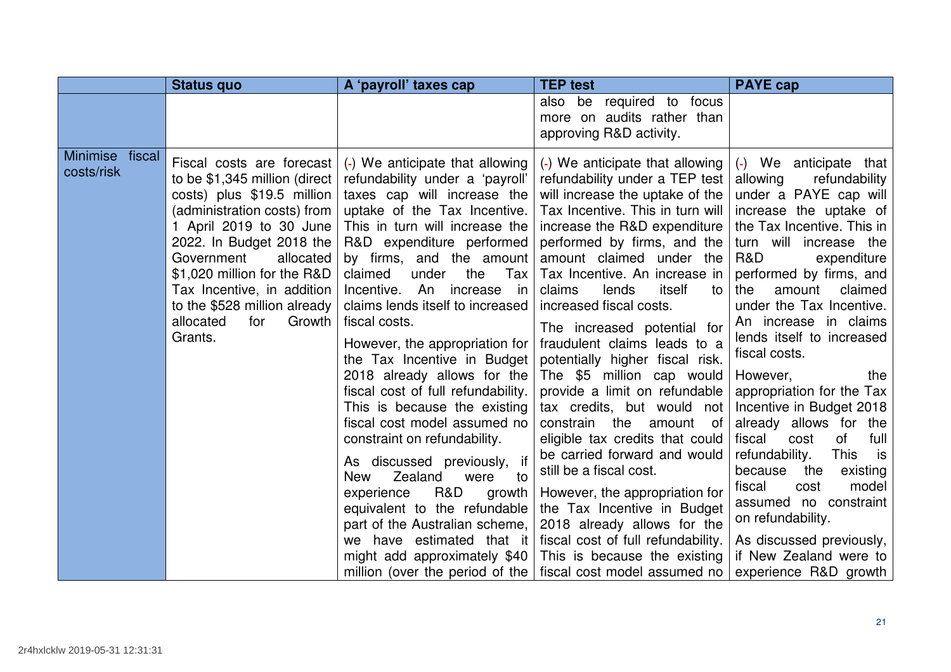| also be required to focus<br>more on audits rather than<br>approving R&D activity.<br>Minimise fiscal<br>(-) We anticipate that allowing<br>(-) We anticipate that allowing<br>Fiscal costs are forecast<br>costs/risk<br>to be \$1,345 million (direct<br>refundability under a 'payroll'<br>refundability under a TEP test<br>allowing<br>costs) plus \$19.5 million<br>taxes cap will increase the<br>will increase the uptake of the<br>uptake of the Tax Incentive.<br>(administration costs) from<br>Tax Incentive. This in turn will<br>1 April 2019 to 30 June<br>This in turn will increase the<br>increase the R&D expenditure                                                                                                                                                                                                                                                                                                                                                                                                                                                                                                                                                                                                                                                                                                                                                                                                                                                                                                                                                                                                                                                                                                                     | <b>Status quo</b> | A 'payroll' taxes cap | <b>TEP</b> test | <b>PAYE cap</b>                                                                                                                                                                                                                                                                                                                                                                                                                                                                                                                   |
|--------------------------------------------------------------------------------------------------------------------------------------------------------------------------------------------------------------------------------------------------------------------------------------------------------------------------------------------------------------------------------------------------------------------------------------------------------------------------------------------------------------------------------------------------------------------------------------------------------------------------------------------------------------------------------------------------------------------------------------------------------------------------------------------------------------------------------------------------------------------------------------------------------------------------------------------------------------------------------------------------------------------------------------------------------------------------------------------------------------------------------------------------------------------------------------------------------------------------------------------------------------------------------------------------------------------------------------------------------------------------------------------------------------------------------------------------------------------------------------------------------------------------------------------------------------------------------------------------------------------------------------------------------------------------------------------------------------------------------------------------------------|-------------------|-----------------------|-----------------|-----------------------------------------------------------------------------------------------------------------------------------------------------------------------------------------------------------------------------------------------------------------------------------------------------------------------------------------------------------------------------------------------------------------------------------------------------------------------------------------------------------------------------------|
|                                                                                                                                                                                                                                                                                                                                                                                                                                                                                                                                                                                                                                                                                                                                                                                                                                                                                                                                                                                                                                                                                                                                                                                                                                                                                                                                                                                                                                                                                                                                                                                                                                                                                                                                                              |                   |                       |                 |                                                                                                                                                                                                                                                                                                                                                                                                                                                                                                                                   |
| R&D expenditure performed<br>2022. In Budget 2018 the<br>performed by firms, and the<br>Government<br>by firms, and the amount<br>amount claimed under the<br>R&D<br>allocated<br>\$1,020 million for the R&D<br>claimed<br>the<br>Tax<br>Tax Incentive. An increase in<br>under<br>Incentive. An increase in<br>itself<br>Tax Incentive, in addition<br>lends<br>amount<br>claims<br>the<br>to<br>to the \$528 million already<br>claims lends itself to increased<br>increased fiscal costs.<br>fiscal costs.<br>allocated<br>Growth<br>for<br>The increased potential for<br>Grants.<br>fraudulent claims leads to a<br>However, the appropriation for<br>fiscal costs.<br>the Tax Incentive in Budget<br>potentially higher fiscal risk.<br>The \$5 million cap would<br>2018 already allows for the<br>However,<br>provide a limit on refundable<br>fiscal cost of full refundability.<br>This is because the existing<br>tax credits, but would not<br>fiscal cost model assumed no<br>the<br>constrain<br>amount<br>of<br>eligible tax credits that could<br>constraint on refundability.<br>fiscal<br>cost<br>of<br>be carried forward and would<br><b>This</b><br>refundability.<br>As discussed previously,<br>if<br>still be a fiscal cost.<br>because<br>the<br>Zealand<br><b>New</b><br>were<br>to<br>fiscal<br>cost<br>R&D<br>However, the appropriation for<br>experience<br>growth<br>the Tax Incentive in Budget<br>equivalent to the refundable<br>on refundability.<br>2018 already allows for the<br>part of the Australian scheme,<br>we have estimated that it<br>fiscal cost of full refundability.<br>might add approximately \$40<br>This is because the existing<br>million (over the period of the   fiscal cost model assumed no |                   |                       |                 | (-) We anticipate that<br>refundability<br>under a PAYE cap will<br>increase the uptake of<br>the Tax Incentive. This in<br>turn will increase the<br>expenditure<br>performed by firms, and<br>claimed<br>under the Tax Incentive.<br>An increase in claims<br>lends itself to increased<br>the<br>appropriation for the Tax<br>Incentive in Budget 2018<br>already allows for the<br>full<br>is is<br>existing<br>model<br>assumed no constraint<br>As discussed previously,<br>if New Zealand were to<br>experience R&D growth |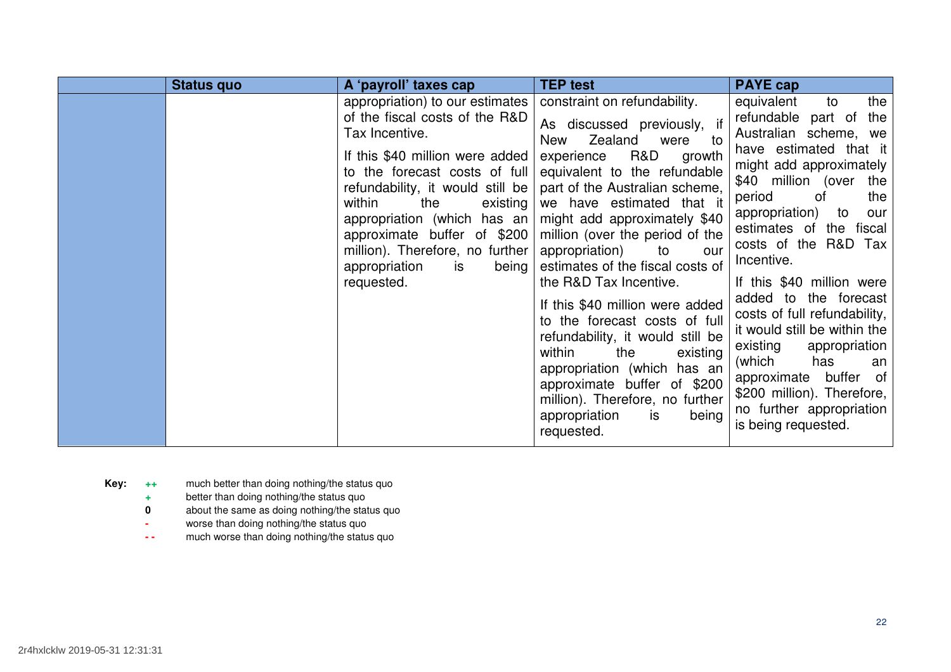| <b>Status quo</b> | A 'payroll' taxes cap                                                                                                                                                                                                                                                                                                                                                          | <b>TEP test</b>                                                                                                                                                                                                                                                                                                                                                                                                                                                                                                                                                                                                                                                               | <b>PAYE cap</b>                                                                                                                                                                                                                                                                                                                                                                                                                                                                                                                                                         |
|-------------------|--------------------------------------------------------------------------------------------------------------------------------------------------------------------------------------------------------------------------------------------------------------------------------------------------------------------------------------------------------------------------------|-------------------------------------------------------------------------------------------------------------------------------------------------------------------------------------------------------------------------------------------------------------------------------------------------------------------------------------------------------------------------------------------------------------------------------------------------------------------------------------------------------------------------------------------------------------------------------------------------------------------------------------------------------------------------------|-------------------------------------------------------------------------------------------------------------------------------------------------------------------------------------------------------------------------------------------------------------------------------------------------------------------------------------------------------------------------------------------------------------------------------------------------------------------------------------------------------------------------------------------------------------------------|
|                   | appropriation) to our estimates<br>of the fiscal costs of the R&D<br>Tax Incentive.<br>If this \$40 million were added<br>to the forecast costs of full<br>refundability, it would still be<br>within<br>the<br>existing<br>appropriation (which has an<br>approximate buffer of \$200<br>million). Therefore, no further<br>appropriation<br>being<br><b>is</b><br>requested. | constraint on refundability.<br>As discussed previously, if<br>Zealand<br>to<br>New<br>were<br>R&D<br>experience<br>growth<br>equivalent to the refundable<br>part of the Australian scheme,<br>we have estimated that it<br>might add approximately \$40<br>million (over the period of the<br>appropriation)<br>to<br>our<br>estimates of the fiscal costs of<br>the R&D Tax Incentive.<br>If this \$40 million were added<br>to the forecast costs of full<br>refundability, it would still be<br>within<br>the<br>existing<br>appropriation (which has an<br>approximate buffer of \$200<br>million). Therefore, no further<br>is<br>appropriation<br>being<br>requested. | the<br>equivalent<br>to<br>refundable part of<br>the<br>Australian scheme, we<br>have estimated that it<br>might add approximately<br>\$40 million (over the<br>period<br>0f<br>the<br>appropriation)<br>to<br>our<br>estimates of the fiscal<br>costs of the R&D Tax<br>Incentive.<br>If this \$40 million were<br>added to the forecast<br>costs of full refundability,<br>it would still be within the<br>existing<br>appropriation<br>(which<br>has<br>an<br>approximate buffer of<br>\$200 million). Therefore,<br>no further appropriation<br>is being requested. |

- **Key: ++** much better than doing nothing/the status quo
	- **<sup>+</sup>**better than doing nothing/the status quo
	- **0 about the same as doing nothing/the status quo**
	- worse than doing nothing/the status quo
	- **--** much worse than doing nothing/the status quo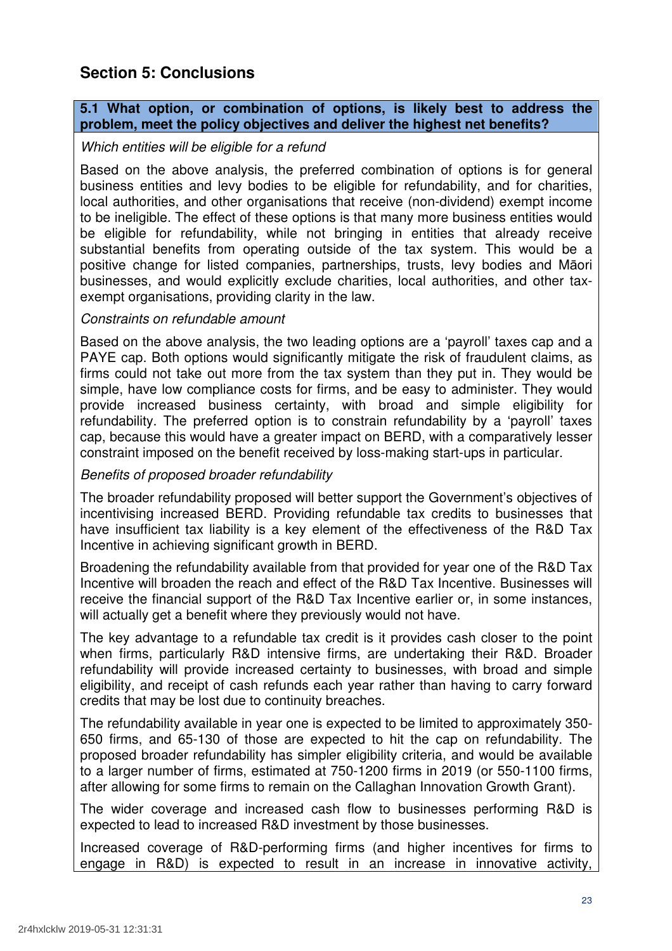# **Section 5: Conclusions**

# **5.1 What option, or combination of options, is likely best to address the problem, meet the policy objectives and deliver the highest net benefits?**

# Which entities will be eligible for a refund

 Based on the above analysis, the preferred combination of options is for general business entities and levy bodies to be eligible for refundability, and for charities, local authorities, and other organisations that receive (non-dividend) exempt income to be ineligible. The effect of these options is that many more business entities would be eligible for refundability, while not bringing in entities that already receive substantial benefits from operating outside of the tax system. This would be a positive change for listed companies, partnerships, trusts, levy bodies and Māori businesses, and would explicitly exclude charities, local authorities, and other tax-exempt organisations, providing clarity in the law.

# Constraints on refundable amount

 Based on the above analysis, the two leading options are a 'payroll' taxes cap and a PAYE cap. Both options would significantly mitigate the risk of fraudulent claims, as firms could not take out more from the tax system than they put in. They would be simple, have low compliance costs for firms, and be easy to administer. They would provide increased business certainty, with broad and simple eligibility for refundability. The preferred option is to constrain refundability by a 'payroll' taxes cap, because this would have a greater impact on BERD, with a comparatively lesser constraint imposed on the benefit received by loss-making start-ups in particular.

# Benefits of proposed broader refundability

 The broader refundability proposed will better support the Government's objectives of incentivising increased BERD. Providing refundable tax credits to businesses that have insufficient tax liability is a key element of the effectiveness of the R&D Tax Incentive in achieving significant growth in BERD.

 Broadening the refundability available from that provided for year one of the R&D Tax Incentive will broaden the reach and effect of the R&D Tax Incentive. Businesses will receive the financial support of the R&D Tax Incentive earlier or, in some instances, will actually get a benefit where they previously would not have.

 The key advantage to a refundable tax credit is it provides cash closer to the point when firms, particularly R&D intensive firms, are undertaking their R&D. Broader refundability will provide increased certainty to businesses, with broad and simple eligibility, and receipt of cash refunds each year rather than having to carry forward credits that may be lost due to continuity breaches.

 The refundability available in year one is expected to be limited to approximately 350- 650 firms, and 65-130 of those are expected to hit the cap on refundability. The proposed broader refundability has simpler eligibility criteria, and would be available to a larger number of firms, estimated at 750-1200 firms in 2019 (or 550-1100 firms, after allowing for some firms to remain on the Callaghan Innovation Growth Grant).

 The wider coverage and increased cash flow to businesses performing R&D is expected to lead to increased R&D investment by those businesses.

 Increased coverage of R&D-performing firms (and higher incentives for firms to engage in R&D) is expected to result in an increase in innovative activity,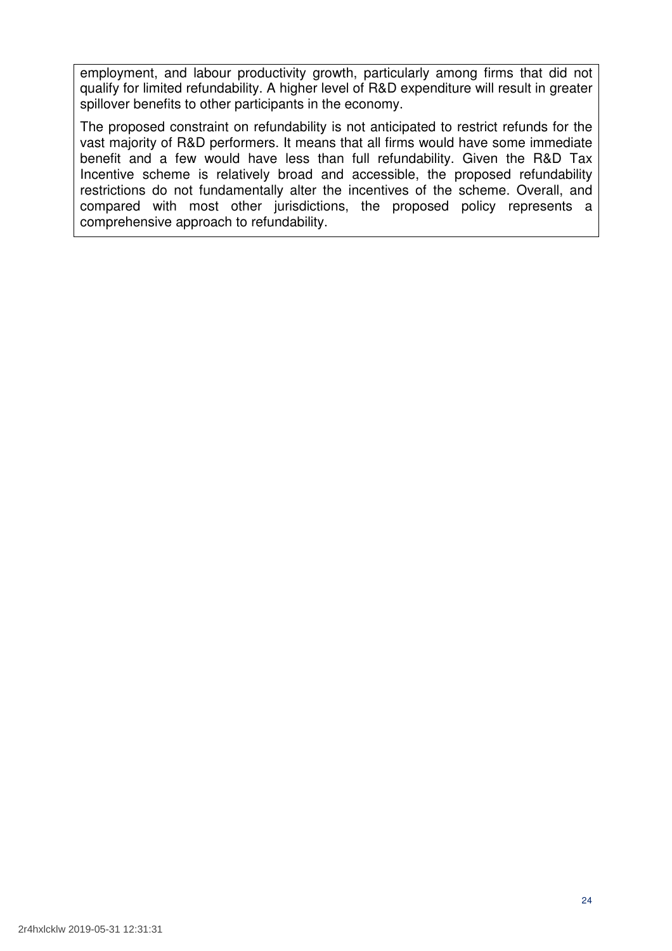employment, and labour productivity growth, particularly among firms that did not qualify for limited refundability. A higher level of R&D expenditure will result in greater spillover benefits to other participants in the economy.

 The proposed constraint on refundability is not anticipated to restrict refunds for the vast majority of R&D performers. It means that all firms would have some immediate benefit and a few would have less than full refundability. Given the R&D Tax Incentive scheme is relatively broad and accessible, the proposed refundability restrictions do not fundamentally alter the incentives of the scheme. Overall, and compared with most other jurisdictions, the proposed policy represents a comprehensive approach to refundability.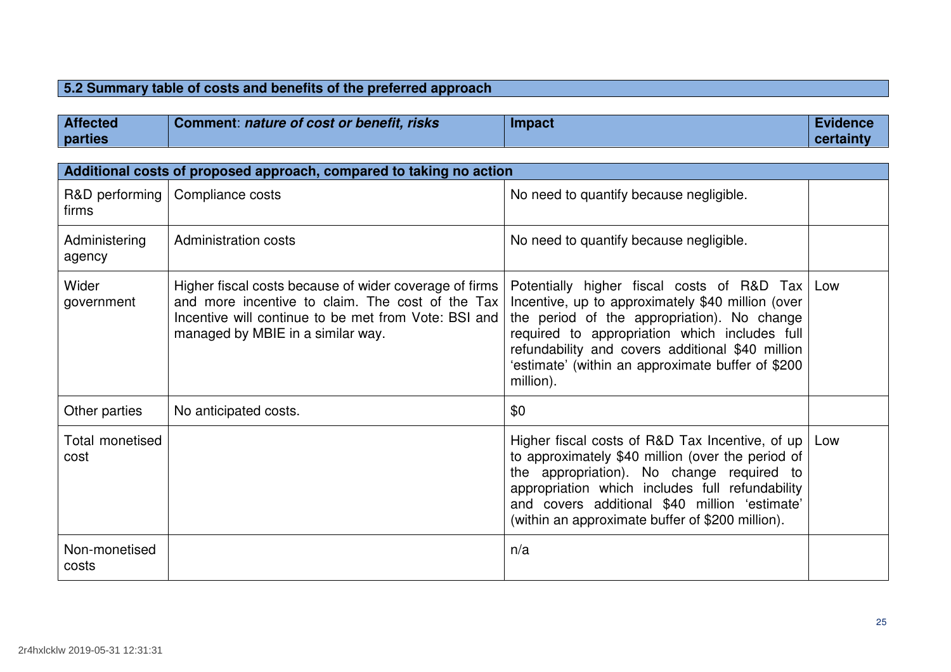# **5.2 Summary table of costs and benefits of the preferred approach**

| <b>Affected</b> | Comment: nature of cost or benefit, risks | Impact | <b>Evidence</b> |
|-----------------|-------------------------------------------|--------|-----------------|
| parties         |                                           |        | certainty       |

|                         | Additional costs of proposed approach, compared to taking no action                                                                                                                                     |                                                                                                                                                                                                                                                                                                                       |     |
|-------------------------|---------------------------------------------------------------------------------------------------------------------------------------------------------------------------------------------------------|-----------------------------------------------------------------------------------------------------------------------------------------------------------------------------------------------------------------------------------------------------------------------------------------------------------------------|-----|
| R&D performing<br>firms | Compliance costs                                                                                                                                                                                        | No need to quantify because negligible.                                                                                                                                                                                                                                                                               |     |
| Administering<br>agency | Administration costs                                                                                                                                                                                    | No need to quantify because negligible.                                                                                                                                                                                                                                                                               |     |
| Wider<br>government     | Higher fiscal costs because of wider coverage of firms<br>and more incentive to claim. The cost of the Tax<br>Incentive will continue to be met from Vote: BSI and<br>managed by MBIE in a similar way. | Potentially higher fiscal costs of R&D Tax<br>Incentive, up to approximately \$40 million (over<br>the period of the appropriation). No change<br>required to appropriation which includes full<br>refundability and covers additional \$40 million<br>'estimate' (within an approximate buffer of \$200<br>million). | Low |
| Other parties           | No anticipated costs.                                                                                                                                                                                   | \$0                                                                                                                                                                                                                                                                                                                   |     |
| Total monetised<br>cost |                                                                                                                                                                                                         | Higher fiscal costs of R&D Tax Incentive, of up<br>to approximately \$40 million (over the period of<br>the appropriation). No change required to<br>appropriation which includes full refundability<br>and covers additional \$40 million 'estimate'<br>(within an approximate buffer of \$200 million).             | Low |
| Non-monetised<br>costs  |                                                                                                                                                                                                         | n/a                                                                                                                                                                                                                                                                                                                   |     |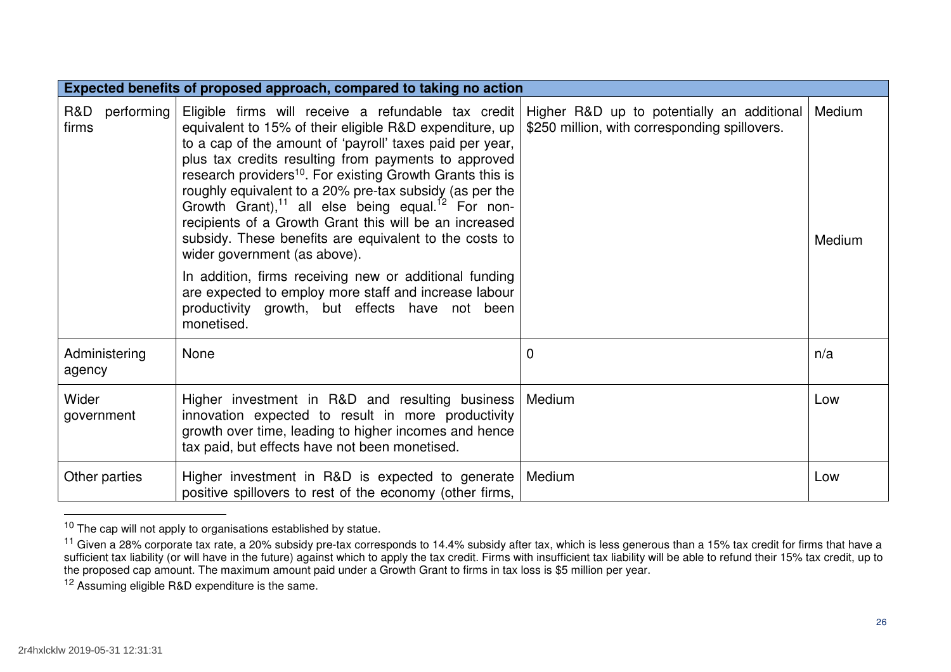|                            | Expected benefits of proposed approach, compared to taking no action                                                                                                                                                                                                                                                                                                                                                                                                                                                                                                                                                                                 |                                               |                  |
|----------------------------|------------------------------------------------------------------------------------------------------------------------------------------------------------------------------------------------------------------------------------------------------------------------------------------------------------------------------------------------------------------------------------------------------------------------------------------------------------------------------------------------------------------------------------------------------------------------------------------------------------------------------------------------------|-----------------------------------------------|------------------|
| R&D<br>performing<br>firms | Eligible firms will receive a refundable tax credit   Higher R&D up to potentially an additional<br>equivalent to 15% of their eligible R&D expenditure, up<br>to a cap of the amount of 'payroll' taxes paid per year,<br>plus tax credits resulting from payments to approved<br>research providers <sup>10</sup> . For existing Growth Grants this is<br>roughly equivalent to a 20% pre-tax subsidy (as per the<br>Growth Grant), <sup>11</sup> all else being equal. <sup>12</sup> For non-<br>recipients of a Growth Grant this will be an increased<br>subsidy. These benefits are equivalent to the costs to<br>wider government (as above). | \$250 million, with corresponding spillovers. | Medium<br>Medium |
|                            | In addition, firms receiving new or additional funding<br>are expected to employ more staff and increase labour<br>productivity growth, but effects have not been<br>monetised.                                                                                                                                                                                                                                                                                                                                                                                                                                                                      |                                               |                  |
| Administering<br>agency    | None                                                                                                                                                                                                                                                                                                                                                                                                                                                                                                                                                                                                                                                 | 0                                             | n/a              |
| Wider<br>government        | Higher investment in R&D and resulting business<br>innovation expected to result in more productivity<br>growth over time, leading to higher incomes and hence<br>tax paid, but effects have not been monetised.                                                                                                                                                                                                                                                                                                                                                                                                                                     | Medium                                        | Low              |
| Other parties              | Higher investment in R&D is expected to generate<br>positive spillovers to rest of the economy (other firms,                                                                                                                                                                                                                                                                                                                                                                                                                                                                                                                                         | Medium                                        | Low              |

 $10$  The cap will not apply to organisations established by statue.

<sup>&</sup>lt;sup>11</sup> Given a 28% corporate tax rate, a 20% subsidy pre-tax corresponds to 14.4% subsidy after tax, which is less generous than a 15% tax credit for firms that have a sufficient tax liability (or will have in the future) against which to apply the tax credit. Firms with insufficient tax liability will be able to refund their 15% tax credit, up to the proposed cap amount. The maximum amount paid under a Growth Grant to firms in tax loss is \$5 million per year.

<sup>&</sup>lt;sup>12</sup> Assuming eligible R&D expenditure is the same.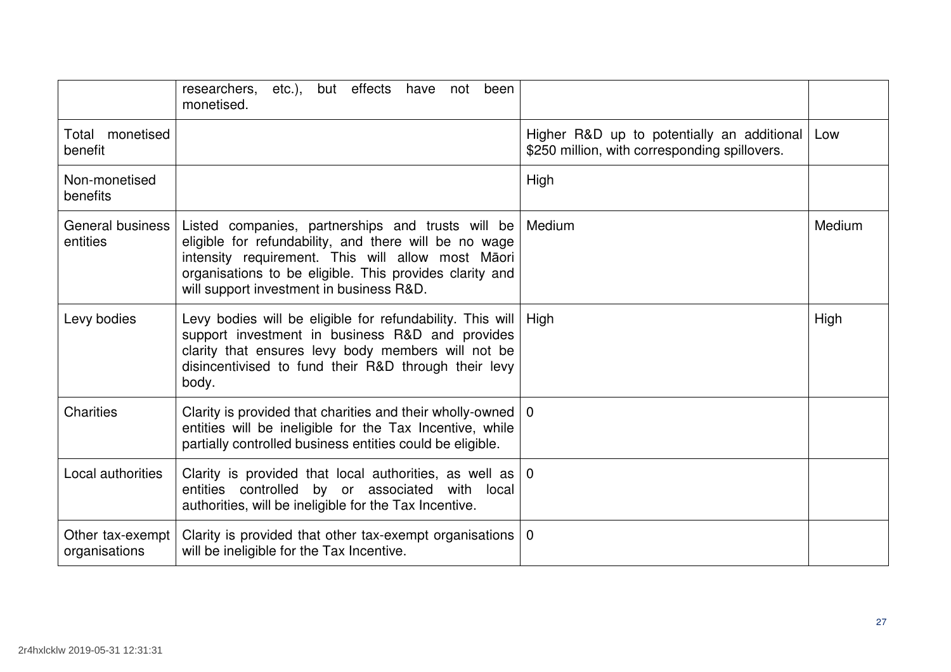|                                   | but effects have not<br>researchers,<br>been<br>etc.),<br>monetised.                                                                                                                                                                                                   |                                                                                             |               |
|-----------------------------------|------------------------------------------------------------------------------------------------------------------------------------------------------------------------------------------------------------------------------------------------------------------------|---------------------------------------------------------------------------------------------|---------------|
| monetised<br>Total<br>benefit     |                                                                                                                                                                                                                                                                        | Higher R&D up to potentially an additional<br>\$250 million, with corresponding spillovers. | Low           |
| Non-monetised<br>benefits         |                                                                                                                                                                                                                                                                        | High                                                                                        |               |
| General business<br>entities      | Listed companies, partnerships and trusts will be<br>eligible for refundability, and there will be no wage<br>intensity requirement. This will allow most Māori<br>organisations to be eligible. This provides clarity and<br>will support investment in business R&D. | Medium                                                                                      | <b>Medium</b> |
| Levy bodies                       | Levy bodies will be eligible for refundability. This will<br>support investment in business R&D and provides<br>clarity that ensures levy body members will not be<br>disincentivised to fund their R&D through their levy<br>body.                                    | High                                                                                        | High          |
| <b>Charities</b>                  | Clarity is provided that charities and their wholly-owned $\vert 0 \rangle$<br>entities will be ineligible for the Tax Incentive, while<br>partially controlled business entities could be eligible.                                                                   |                                                                                             |               |
| <b>Local authorities</b>          | Clarity is provided that local authorities, as well as $ 0\rangle$<br>entities controlled by or associated with local<br>authorities, will be ineligible for the Tax Incentive.                                                                                        |                                                                                             |               |
| Other tax-exempt<br>organisations | Clarity is provided that other tax-exempt organisations $\vert 0 \rangle$<br>will be ineligible for the Tax Incentive.                                                                                                                                                 |                                                                                             |               |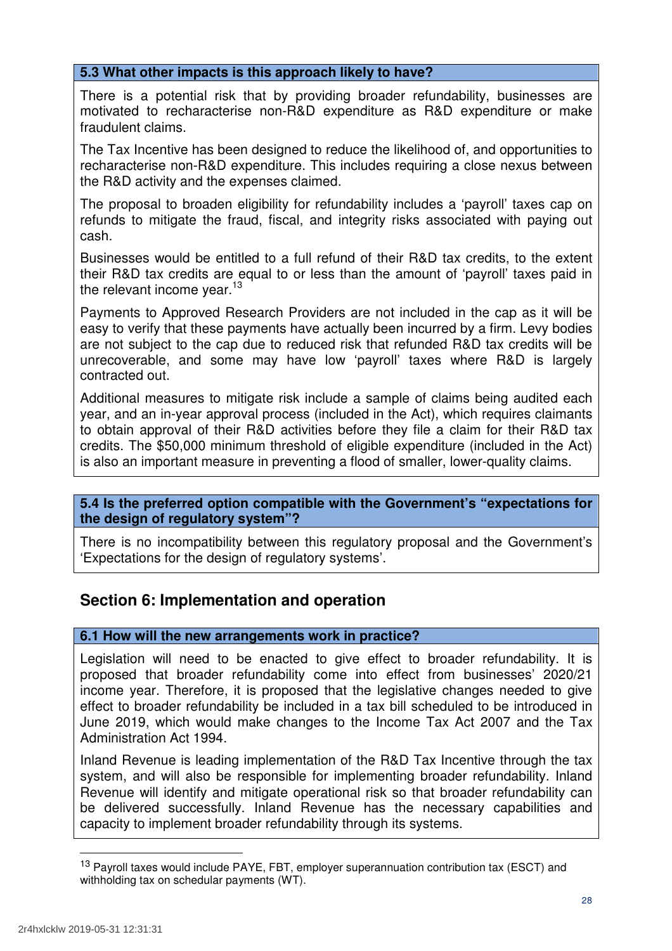# **5.3 What other impacts is this approach likely to have?**

 There is a potential risk that by providing broader refundability, businesses are motivated to recharacterise non-R&D expenditure as R&D expenditure or make fraudulent claims.

 The Tax Incentive has been designed to reduce the likelihood of, and opportunities to recharacterise non-R&D expenditure. This includes requiring a close nexus between the R&D activity and the expenses claimed.

 The proposal to broaden eligibility for refundability includes a 'payroll' taxes cap on refunds to mitigate the fraud, fiscal, and integrity risks associated with paying out cash.

 Businesses would be entitled to a full refund of their R&D tax credits, to the extent their R&D tax credits are equal to or less than the amount of 'payroll' taxes paid in the relevant income year.<sup>13</sup>

 Payments to Approved Research Providers are not included in the cap as it will be easy to verify that these payments have actually been incurred by a firm. Levy bodies are not subject to the cap due to reduced risk that refunded R&D tax credits will be unrecoverable, and some may have low 'payroll' taxes where R&D is largely contracted out.

 Additional measures to mitigate risk include a sample of claims being audited each year, and an in-year approval process (included in the Act), which requires claimants to obtain approval of their R&D activities before they file a claim for their R&D tax credits. The \$50,000 minimum threshold of eligible expenditure (included in the Act) is also an important measure in preventing a flood of smaller, lower-quality claims.

# **5.4 Is the preferred option compatible with the Government's "expectations for the design of regulatory system"?**

 There is no incompatibility between this regulatory proposal and the Government's 'Expectations for the design of regulatory systems'.

# **Section 6: Implementation and operation**

# **6.1 How will the new arrangements work in practice?**

 Legislation will need to be enacted to give effect to broader refundability. It is proposed that broader refundability come into effect from businesses' 2020/21 income year. Therefore, it is proposed that the legislative changes needed to give effect to broader refundability be included in a tax bill scheduled to be introduced in June 2019, which would make changes to the Income Tax Act 2007 and the Tax Administration Act 1994.

 Inland Revenue is leading implementation of the R&D Tax Incentive through the tax system, and will also be responsible for implementing broader refundability. Inland Revenue will identify and mitigate operational risk so that broader refundability can be delivered successfully. Inland Revenue has the necessary capabilities and capacity to implement broader refundability through its systems.

<sup>&</sup>lt;sup>13</sup> Payroll taxes would include PAYE, FBT, employer superannuation contribution tax (ESCT) and withholding tax on schedular payments (WT).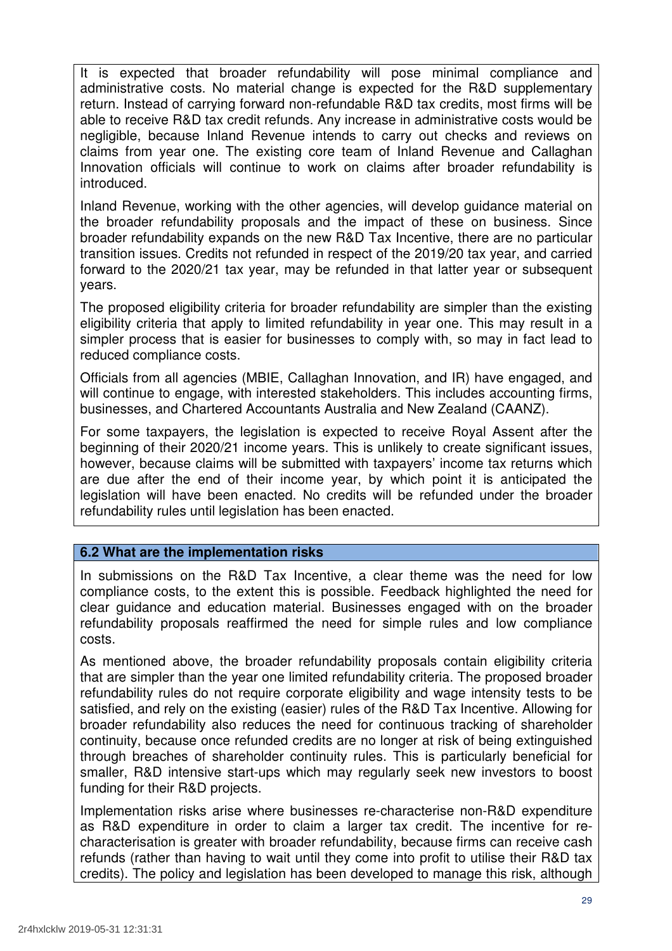It is expected that broader refundability will pose minimal compliance and administrative costs. No material change is expected for the R&D supplementary return. Instead of carrying forward non-refundable R&D tax credits, most firms will be able to receive R&D tax credit refunds. Any increase in administrative costs would be negligible, because Inland Revenue intends to carry out checks and reviews on claims from year one. The existing core team of Inland Revenue and Callaghan Innovation officials will continue to work on claims after broader refundability is introduced.

 Inland Revenue, working with the other agencies, will develop guidance material on the broader refundability proposals and the impact of these on business. Since broader refundability expands on the new R&D Tax Incentive, there are no particular transition issues. Credits not refunded in respect of the 2019/20 tax year, and carried forward to the 2020/21 tax year, may be refunded in that latter year or subsequent years.

 The proposed eligibility criteria for broader refundability are simpler than the existing eligibility criteria that apply to limited refundability in year one. This may result in a simpler process that is easier for businesses to comply with, so may in fact lead to reduced compliance costs.

 Officials from all agencies (MBIE, Callaghan Innovation, and IR) have engaged, and will continue to engage, with interested stakeholders. This includes accounting firms, businesses, and Chartered Accountants Australia and New Zealand (CAANZ).

 For some taxpayers, the legislation is expected to receive Royal Assent after the beginning of their 2020/21 income years. This is unlikely to create significant issues, however, because claims will be submitted with taxpayers' income tax returns which are due after the end of their income year, by which point it is anticipated the legislation will have been enacted. No credits will be refunded under the broader refundability rules until legislation has been enacted.

# **6.2 What are the implementation risks**

 In submissions on the R&D Tax Incentive, a clear theme was the need for low compliance costs, to the extent this is possible. Feedback highlighted the need for clear guidance and education material. Businesses engaged with on the broader refundability proposals reaffirmed the need for simple rules and low compliance costs.

costs.<br>As mentioned above, the broader refundability proposals contain eligibility criteria that are simpler than the year one limited refundability criteria. The proposed broader refundability rules do not require corporate eligibility and wage intensity tests to be satisfied, and rely on the existing (easier) rules of the R&D Tax Incentive. Allowing for broader refundability also reduces the need for continuous tracking of shareholder continuity, because once refunded credits are no longer at risk of being extinguished through breaches of shareholder continuity rules. This is particularly beneficial for smaller, R&D intensive start-ups which may regularly seek new investors to boost funding for their R&D projects.

 Implementation risks arise where businesses re-characterise non-R&D expenditure as R&D expenditure in order to claim a larger tax credit. The incentive for re- characterisation is greater with broader refundability, because firms can receive cash refunds (rather than having to wait until they come into profit to utilise their R&D tax credits). The policy and legislation has been developed to manage this risk, although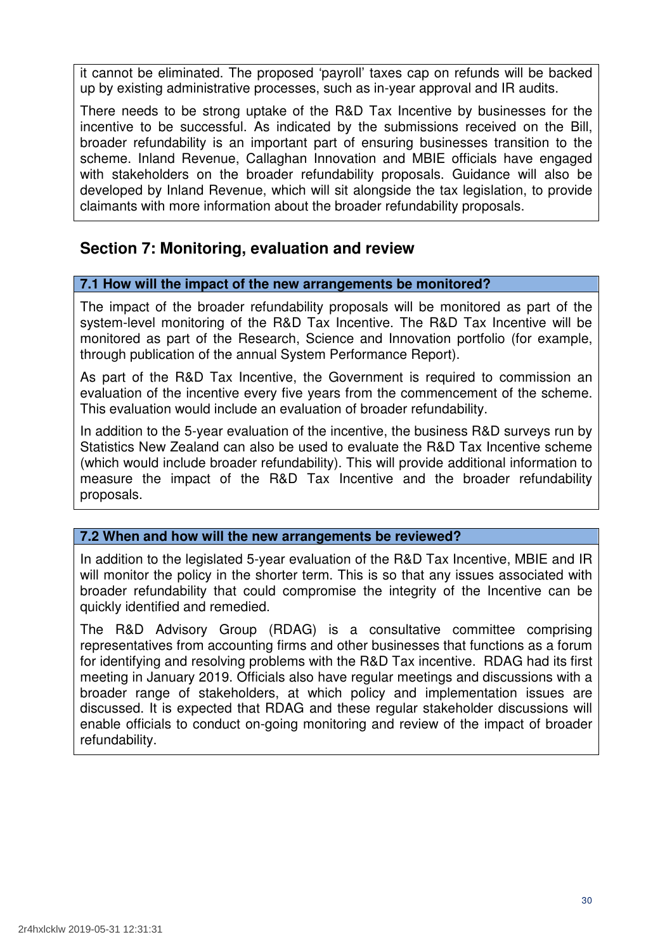it cannot be eliminated. The proposed 'payroll' taxes cap on refunds will be backed up by existing administrative processes, such as in-year approval and IR audits.

 There needs to be strong uptake of the R&D Tax Incentive by businesses for the incentive to be successful. As indicated by the submissions received on the Bill, broader refundability is an important part of ensuring businesses transition to the scheme. Inland Revenue, Callaghan Innovation and MBIE officials have engaged with stakeholders on the broader refundability proposals. Guidance will also be developed by Inland Revenue, which will sit alongside the tax legislation, to provide claimants with more information about the broader refundability proposals.

# **Section 7: Monitoring, evaluation and review**

# **7.1 How will the impact of the new arrangements be monitored?**

 The impact of the broader refundability proposals will be monitored as part of the system-level monitoring of the R&D Tax Incentive. The R&D Tax Incentive will be monitored as part of the Research, Science and Innovation portfolio (for example, through publication of the annual System Performance Report).

 As part of the R&D Tax Incentive, the Government is required to commission an evaluation of the incentive every five years from the commencement of the scheme. This evaluation would include an evaluation of broader refundability.

 In addition to the 5-year evaluation of the incentive, the business R&D surveys run by Statistics New Zealand can also be used to evaluate the R&D Tax Incentive scheme (which would include broader refundability). This will provide additional information to measure the impact of the R&D Tax Incentive and the broader refundability proposals.

# **7.2 When and how will the new arrangements be reviewed?**

 In addition to the legislated 5-year evaluation of the R&D Tax Incentive, MBIE and IR will monitor the policy in the shorter term. This is so that any issues associated with broader refundability that could compromise the integrity of the Incentive can be quickly identified and remedied.

 The R&D Advisory Group (RDAG) is a consultative committee comprising representatives from accounting firms and other businesses that functions as a forum for identifying and resolving problems with the R&D Tax incentive. RDAG had its first meeting in January 2019. Officials also have regular meetings and discussions with a broader range of stakeholders, at which policy and implementation issues are discussed. It is expected that RDAG and these regular stakeholder discussions will enable officials to conduct on-going monitoring and review of the impact of broader refundability.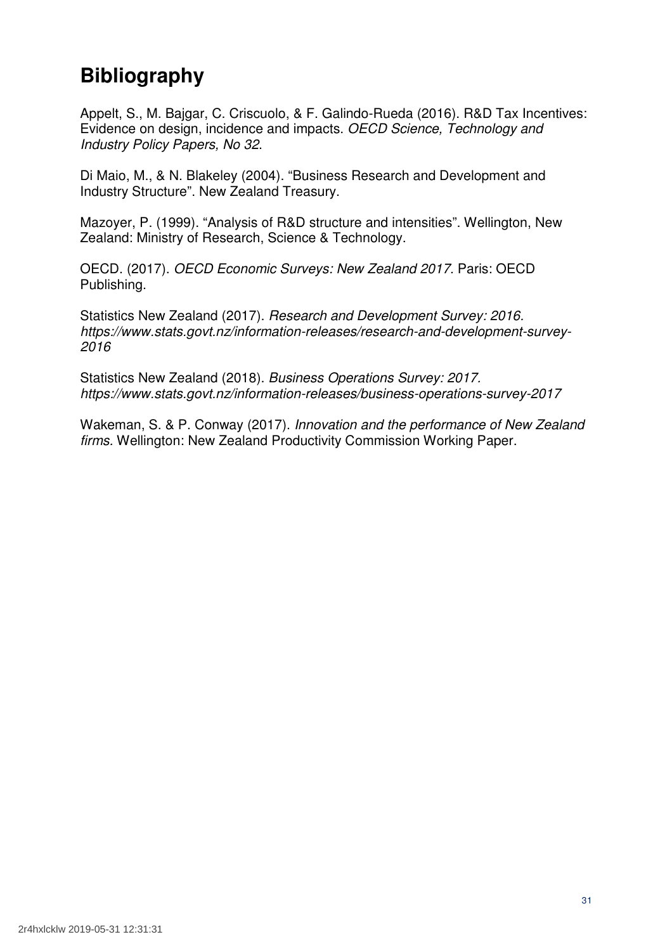# **Bibliography**

 Appelt, S., M. Bajgar, C. Criscuolo, & F. Galindo-Rueda (2016). R&D Tax Incentives: Evidence on design, incidence and impacts. OECD Science, Technology and Industry Policy Papers, No 32.

 Di Maio, M., & N. Blakeley (2004). "Business Research and Development and Industry Structure". New Zealand Treasury.

 Mazoyer, P. (1999). "Analysis of R&D structure and intensities". Wellington, New Zealand: Ministry of Research, Science & Technology.

 OECD. (2017). OECD Economic Surveys: New Zealand 2017. Paris: OECD Publishing.

Statistics New Zealand (2017). Research and Development Survey: 2016. [https://www.stats.govt.nz/information-releases/research-and-development-survey-](https://www.stats.govt.nz/information-releases/research-and-development-survey)2016

Statistics New Zealand (2018). Business Operations Survey: 2017. <https://www.stats.govt.nz/information-releases/business-operations-survey-2017>

Wakeman, S. & P. Conway (2017). Innovation and the performance of New Zealand firms. Wellington: New Zealand Productivity Commission Working Paper.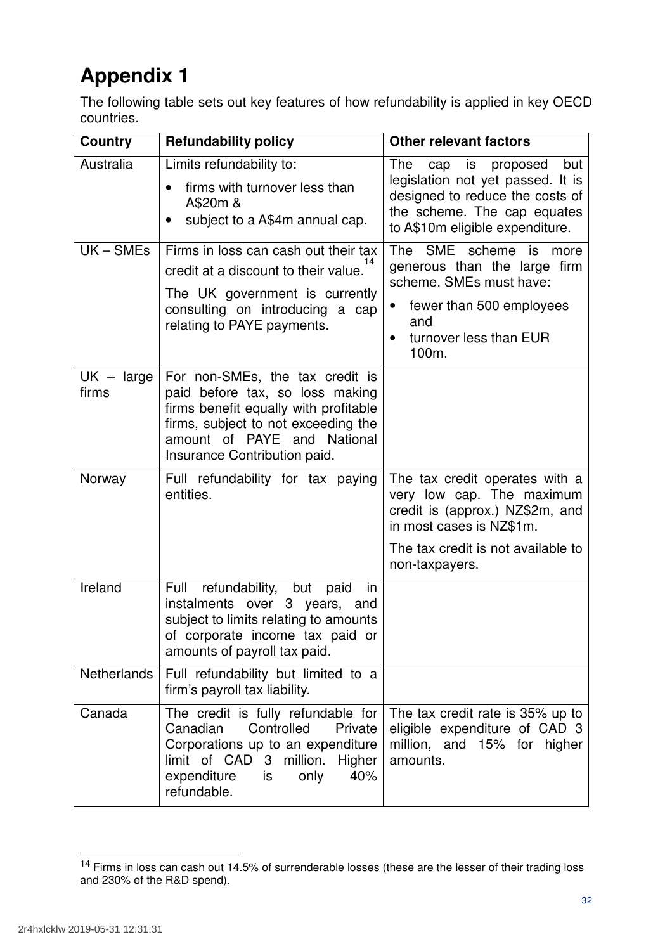# **Appendix 1**

 The following table sets out key features of how refundability is applied in key OECD countries.

| <b>Country</b>                                                                                                     | <b>Refundability policy</b>                                                                                                                                                                                       | <b>Other relevant factors</b>                                                                                                                                                        |  |
|--------------------------------------------------------------------------------------------------------------------|-------------------------------------------------------------------------------------------------------------------------------------------------------------------------------------------------------------------|--------------------------------------------------------------------------------------------------------------------------------------------------------------------------------------|--|
| Australia                                                                                                          | Limits refundability to:<br>firms with turnover less than<br>A\$20m &<br>subject to a A\$4m annual cap.                                                                                                           | The<br>but<br>is<br>proposed<br>cap<br>legislation not yet passed. It is<br>designed to reduce the costs of<br>the scheme. The cap equates<br>to A\$10m eligible expenditure.        |  |
| $UK-SMEs$                                                                                                          | Firms in loss can cash out their tax<br>credit at a discount to their value.<br>The UK government is currently<br>consulting on introducing a cap<br>relating to PAYE payments.                                   | The SME scheme is<br>more<br>generous than the large firm<br>scheme. SMEs must have:<br>fewer than 500 employees<br>$\bullet$<br>and<br>turnover less than EUR<br>$\bullet$<br>100m. |  |
| $UK - large$<br>firms                                                                                              | For non-SMEs, the tax credit is<br>paid before tax, so loss making<br>firms benefit equally with profitable<br>firms, subject to not exceeding the<br>amount of PAYE and National<br>Insurance Contribution paid. |                                                                                                                                                                                      |  |
| Norway                                                                                                             | Full refundability for tax paying<br>entities.                                                                                                                                                                    | The tax credit operates with a<br>very low cap. The maximum<br>credit is (approx.) NZ\$2m, and<br>in most cases is NZ\$1m.<br>The tax credit is not available to<br>non-taxpayers.   |  |
| Ireland                                                                                                            | refundability, but paid<br>Full<br><i>in</i><br>instalments over 3 years, and<br>subject to limits relating to amounts<br>of corporate income tax paid or<br>amounts of payroll tax paid.                         |                                                                                                                                                                                      |  |
| Netherlands                                                                                                        | Full refundability but limited to a<br>firm's payroll tax liability.                                                                                                                                              |                                                                                                                                                                                      |  |
| Canada                                                                                                             | The credit is fully refundable for<br>Canadian<br>Controlled<br>Private<br>Corporations up to an expenditure<br>limit of CAD 3 million.<br>Higher<br>40%<br>expenditure<br>only<br>is<br>refundable.              | The tax credit rate is 35% up to<br>eligible expenditure of CAD 3<br>million, and 15% for higher<br>amounts.                                                                         |  |
| <sup>14</sup> Firms in loss can cash out 14.5% of surrenderable losses (these are the lesser of their trading loss |                                                                                                                                                                                                                   |                                                                                                                                                                                      |  |

 and 230% of the R&D spend).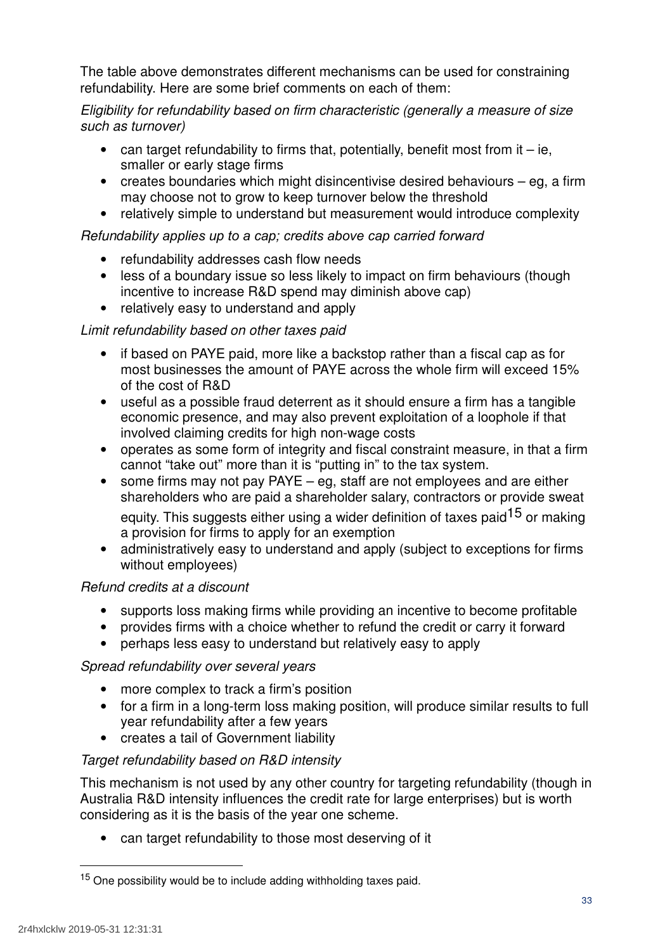The table above demonstrates different mechanisms can be used for constraining refundability. Here are some brief comments on each of them:

 Eligibility for refundability based on firm characteristic (generally a measure of size such as turnover)

- $\bullet$  can target refundability to firms that, potentially, benefit most from it  $-$  ie, smaller or early stage firms
- • creates boundaries which might disincentivise desired behaviours eg, a firm may choose not to grow to keep turnover below the threshold
- relatively simple to understand but measurement would introduce complexity

# Refundability applies up to a cap; credits above cap carried forward

- refundability addresses cash flow needs
- • less of a boundary issue so less likely to impact on firm behaviours (though incentive to increase R&D spend may diminish above cap)
- relatively easy to understand and apply

# Limit refundability based on other taxes paid

- • if based on PAYE paid, more like a backstop rather than a fiscal cap as for most businesses the amount of PAYE across the whole firm will exceed 15% of the cost of R&D
- • useful as a possible fraud deterrent as it should ensure a firm has a tangible economic presence, and may also prevent exploitation of a loophole if that involved claiming credits for high non-wage costs
- • operates as some form of integrity and fiscal constraint measure, in that a firm cannot "take out" more than it is "putting in" to the tax system.
- • some firms may not pay PAYE eg, staff are not employees and are either shareholders who are paid a shareholder salary, contractors or provide sweat equity. This suggests either using a wider definition of taxes paid<sup>15</sup> or making a provision for firms to apply for an exemption
- • administratively easy to understand and apply (subject to exceptions for firms without employees)

# Refund credits at a discount

- supports loss making firms while providing an incentive to become profitable
- provides firms with a choice whether to refund the credit or carry it forward
- perhaps less easy to understand but relatively easy to apply

# Spread refundability over several years

- more complex to track a firm's position
- • for a firm in a long-term loss making position, will produce similar results to full year refundability after a few years
- creates a tail of Government liability

# Target refundability based on R&D intensity

 This mechanism is not used by any other country for targeting refundability (though in Australia R&D intensity influences the credit rate for large enterprises) but is worth considering as it is the basis of the year one scheme.

can target refundability to those most deserving of it

<sup>&</sup>lt;sup>15</sup> One possibility would be to include adding withholding taxes paid.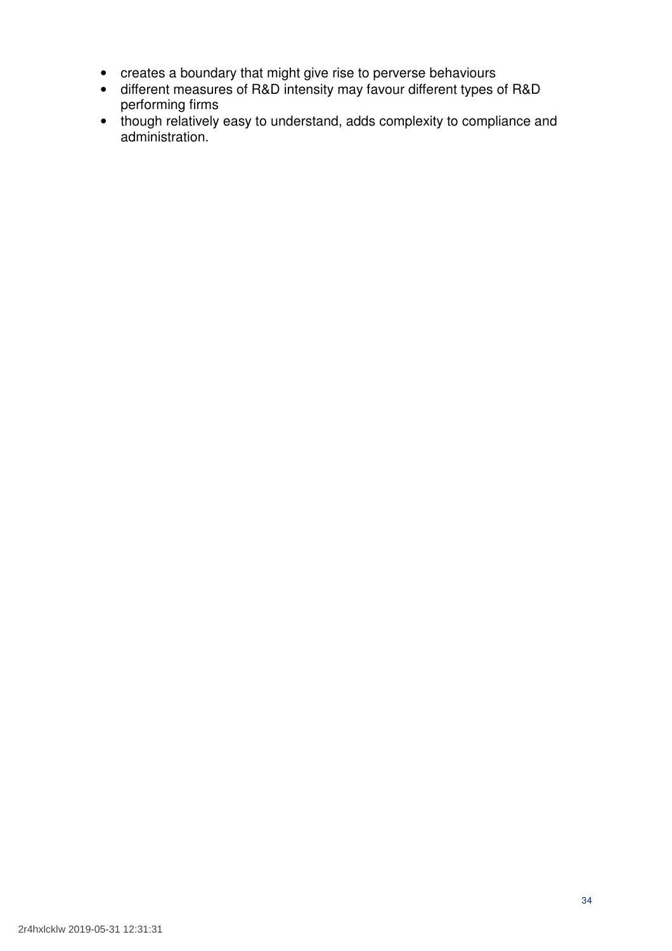- creates a boundary that might give rise to perverse behaviours
- • different measures of R&D intensity may favour different types of R&D performing firms
- • though relatively easy to understand, adds complexity to compliance and administration.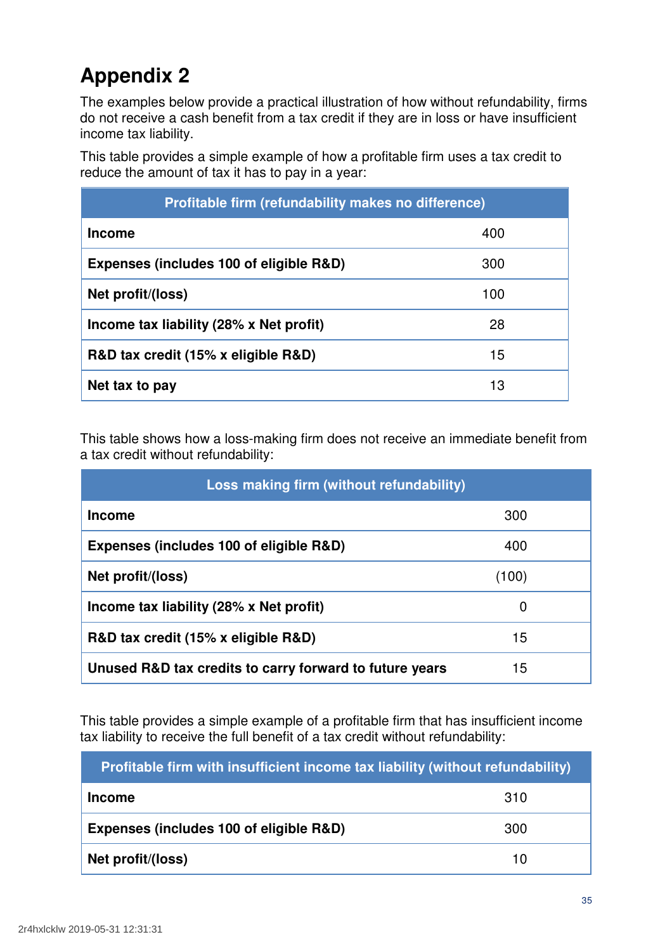# **Appendix 2**

 The examples below provide a practical illustration of how without refundability, firms do not receive a cash benefit from a tax credit if they are in loss or have insufficient income tax liability.

 This table provides a simple example of how a profitable firm uses a tax credit to reduce the amount of tax it has to pay in a year:

| Profitable firm (refundability makes no difference) |     |  |  |
|-----------------------------------------------------|-----|--|--|
| <b>Income</b>                                       | 400 |  |  |
| Expenses (includes 100 of eligible R&D)             | 300 |  |  |
| Net profit/(loss)                                   | 100 |  |  |
| Income tax liability (28% x Net profit)             | 28  |  |  |
| R&D tax credit (15% x eligible R&D)                 | 15  |  |  |
| Net tax to pay                                      | 13  |  |  |

 This table shows how a loss-making firm does not receive an immediate benefit from a tax credit without refundability:

| Loss making firm (without refundability)                |       |  |  |
|---------------------------------------------------------|-------|--|--|
| <b>Income</b>                                           | 300   |  |  |
| Expenses (includes 100 of eligible R&D)                 | 400   |  |  |
| Net profit/(loss)                                       | (100) |  |  |
| Income tax liability (28% x Net profit)                 | 0     |  |  |
| R&D tax credit (15% x eligible R&D)                     | 15    |  |  |
| Unused R&D tax credits to carry forward to future years | 15    |  |  |

 This table provides a simple example of a profitable firm that has insufficient income tax liability to receive the full benefit of a tax credit without refundability:

| Profitable firm with insufficient income tax liability (without refundability) |     |  |  |
|--------------------------------------------------------------------------------|-----|--|--|
| <b>Income</b>                                                                  | 310 |  |  |
| Expenses (includes 100 of eligible R&D)                                        | 300 |  |  |
| Net profit/(loss)                                                              | 10  |  |  |